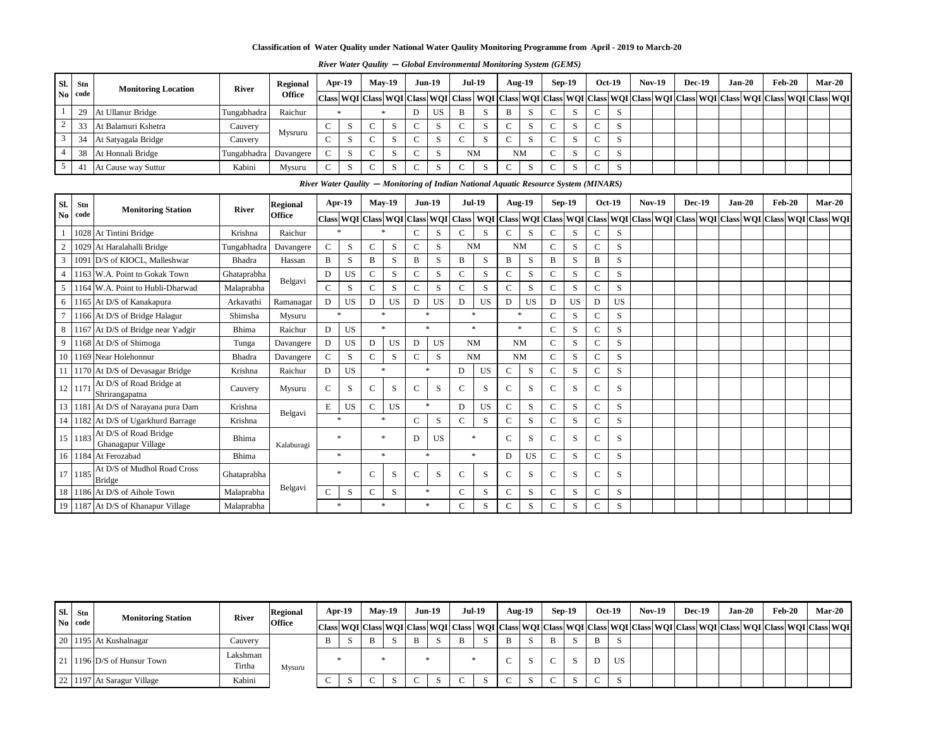| Sl.            | Stn        | <b>Monitoring Location</b>                   | <b>River</b> | <b>Regional</b> | $Apr-19$     |           |               | $May-19$                                | <b>Jun-19</b> |           |               | <b>Jul-19</b>                                                                        |               | <b>Aug-19</b> |               | <b>Sep-19</b> |               | <b>Oct-19</b> | <b>Nov-19</b>                                                                                                       | <b>Dec-19</b> | $Jan-20$ | <b>Feb-20</b> | $Mar-20$ |  |
|----------------|------------|----------------------------------------------|--------------|-----------------|--------------|-----------|---------------|-----------------------------------------|---------------|-----------|---------------|--------------------------------------------------------------------------------------|---------------|---------------|---------------|---------------|---------------|---------------|---------------------------------------------------------------------------------------------------------------------|---------------|----------|---------------|----------|--|
| <b>No</b>      | code       |                                              |              | <b>Office</b>   |              |           |               | Class WQI Class WQI Class WQI Class     |               |           |               |                                                                                      |               |               |               |               |               |               | WQI   Class   WQI   Class   WQI   Class   WQI   Class   WQI   Class   WQI   Class   WQI   Class   WQI   Class   WQI |               |          |               |          |  |
|                | 29         | At Ullanur Bridge                            | Tungabhadra  | Raichur         |              |           |               |                                         | D             | <b>US</b> | B             | S                                                                                    | B             | S             |               | S             |               | S             |                                                                                                                     |               |          |               |          |  |
| 2              | 33         | At Balamuri Kshetra                          | Cauvery      |                 | $\mathbf C$  | S         | $\mathcal{C}$ | S                                       | $\mathbf C$   | S         | $\mathbf C$   | S                                                                                    | $\mathbf C$   | S             | $\mathbf C$   | S             | $\mathsf{C}$  | S             |                                                                                                                     |               |          |               |          |  |
| $\mathbf{3}$   | 34         | At Satyagala Bridge                          | Cauvery      | Mysruru         | $\mathbf C$  | S         | $\mathcal{C}$ | S                                       | $\mathbf{C}$  | S         | $\mathbf{C}$  | S                                                                                    | $\mathsf{C}$  | S             | $\mathbf C$   | S             | $\mathsf{C}$  | S             |                                                                                                                     |               |          |               |          |  |
| $\overline{4}$ | 38         | At Honnali Bridge                            | Tungabhadra  | Davangere       | $\mathbf C$  | S         | $\mathcal{C}$ | ${\bf S}$                               | $\mathbf C$   | S         |               | <b>NM</b>                                                                            |               | <b>NM</b>     | $\mathbf C$   | S             | $\mathsf{C}$  | S             |                                                                                                                     |               |          |               |          |  |
| $\overline{5}$ | 41         | At Cause way Suttur                          | Kabini       | Mysuru          | $\mathsf{C}$ | S         |               | S                                       | $\mathsf{C}$  | S         | $\mathsf{C}$  | S                                                                                    | $\mathbf C$   | S             | $\mathcal{C}$ | S             |               | S             |                                                                                                                     |               |          |               |          |  |
|                |            |                                              |              |                 |              |           |               |                                         |               |           |               | River Water Qaulity - Monitoring of Indian National Aquatic Resource System (MINARS) |               |               |               |               |               |               |                                                                                                                     |               |          |               |          |  |
| Sl.            | <b>Stn</b> |                                              |              | <b>Regional</b> | $Apr-19$     |           |               | <b>May-19</b>                           | <b>Jun-19</b> |           |               | <b>Jul-19</b>                                                                        |               | <b>Aug-19</b> |               | <b>Sep-19</b> |               | <b>Oct-19</b> | <b>Nov-19</b>                                                                                                       | <b>Dec-19</b> | $Jan-20$ | <b>Feb-20</b> | $Mar-20$ |  |
| N <sub>0</sub> | code       | <b>Monitoring Station</b>                    | <b>River</b> | <b>Office</b>   |              |           |               | Class   WQI   Class   WQI   Class   WQI |               |           | <b>Class</b>  |                                                                                      |               |               |               |               |               |               | WQI   Class   WQI   Class   WQI   Class   WQI   Class   WQI   Class   WQI   Class   WQI   Class   WQI   Class   WQI |               |          |               |          |  |
|                |            | 1028 At Tintini Bridge                       | Krishna      | Raichur         |              |           |               |                                         | $\mathbf C$   | S         | $\mathcal{C}$ | S                                                                                    | C             | S             | $\mathsf{C}$  | S             | $\mathbf C$   | S             |                                                                                                                     |               |          |               |          |  |
| $\overline{2}$ |            | 1029 At Haralahalli Bridge                   | Tungabhadra  | Davangere       | $\mathbf C$  | S         | $\mathcal{C}$ | S                                       | $\mathbf{C}$  | S         |               | <b>NM</b>                                                                            |               | <b>NM</b>     | $\mathsf{C}$  | S             | $\mathbf C$   | S             |                                                                                                                     |               |          |               |          |  |
| 3              |            | 1091 D/S of KIOCL, Malleshwar                | Bhadra       | Hassan          | B            | S         | B             | S                                       | $\mathbf{B}$  | S         | $\mathbf B$   | S                                                                                    | $\mathbf{B}$  | S             | B             | S             | $\bf{B}$      | S             |                                                                                                                     |               |          |               |          |  |
| $\overline{4}$ |            | 1163 W.A. Point to Gokak Town                | Ghataprabha  |                 | D            | <b>US</b> | $\mathcal{C}$ | S                                       | $\mathbf{C}$  | S         | $\mathsf{C}$  | ${\bf S}$                                                                            | $\mathbf C$   | S             | $\mathbf C$   | S             | $\mathsf{C}$  | S             |                                                                                                                     |               |          |               |          |  |
| 5              |            | 1164 W.A. Point to Hubli-Dharwad             | Malaprabha   | Belgavi         | $\mathbf C$  | S         | $\mathbf C$   | ${\bf S}$                               | $\mathbf{C}$  | S         | $\mathbf{C}$  | S                                                                                    | $\mathcal{C}$ | S             | $\mathbf C$   | S             | $\mathsf{C}$  | S             |                                                                                                                     |               |          |               |          |  |
| 6              |            | 1165 At D/S of Kanakapura                    | Arkavathi    | Ramanagar       | D            | <b>US</b> | D             | <b>US</b>                               | D             | <b>US</b> | $\mathbf{D}$  | <b>US</b>                                                                            | D             | <b>US</b>     | D             | <b>US</b>     | D             | <b>US</b>     |                                                                                                                     |               |          |               |          |  |
| $\overline{7}$ |            | 1166 At D/S of Bridge Halagur                | Shimsha      | Mysuru          | $\ast$       |           |               | $\ast$                                  | $\ast$        |           |               | $\ast$                                                                               |               | $\ast$        | $\mathsf{C}$  | S             | $\mathcal{C}$ | S             |                                                                                                                     |               |          |               |          |  |
| 8              |            | 1167 At D/S of Bridge near Yadgir            | Bhima        | Raichur         | D            | <b>US</b> |               | $\ast$                                  | $\ast$        |           |               | $\ast$                                                                               |               | $\ast$        | $\mathcal{C}$ | S             | $\mathsf{C}$  | S             |                                                                                                                     |               |          |               |          |  |
| 9              |            | 1168 At D/S of Shimoga                       | Tunga        | Davangere       | D            | <b>US</b> | D             | <b>US</b>                               | D             | <b>US</b> |               | <b>NM</b>                                                                            |               | <b>NM</b>     | $\mathbf C$   | S             | $\mathbf C$   | S             |                                                                                                                     |               |          |               |          |  |
| 10             |            | 1169 Near Holehonnur                         | Bhadra       | Davangere       | $\mathbf C$  | S         | $\mathbf C$   | S                                       | $\mathbf{C}$  | S         |               | <b>NM</b>                                                                            |               | <b>NM</b>     | $\mathsf{C}$  | S             | $\mathsf{C}$  | S             |                                                                                                                     |               |          |               |          |  |
| 11             |            | 1170 At D/S of Devasagar Bridge              | Krishna      | Raichur         | D            | <b>US</b> |               | $\ast$                                  | $\ast$        |           | D             | <b>US</b>                                                                            | $\mathbf C$   | ${\bf S}$     | $\mathbf C$   | S             | $\mathbf C$   | S             |                                                                                                                     |               |          |               |          |  |
|                | 12 117     | At D/S of Road Bridge at<br>Shrirangapatna   | Cauvery      | Mysuru          | $\mathbf C$  | S         | $\mathbf C$   | S                                       | $\mathbf{C}$  | S         | $\mathsf{C}$  | S                                                                                    | $\mathcal{C}$ | S             | $\mathsf{C}$  | S             | $\mathcal{C}$ | S             |                                                                                                                     |               |          |               |          |  |
|                |            | 13 1181 At D/S of Narayana pura Dam          | Krishna      |                 | E            | <b>US</b> | $\mathcal{C}$ | <b>US</b>                               | $\ast$        |           | D             | <b>US</b>                                                                            | $\mathbf C$   | S             | $\mathbf C$   | S             | $\mathbf C$   | S             |                                                                                                                     |               |          |               |          |  |
|                |            | 14   1182   At D/S of Ugarkhurd Barrage      | Krishna      | Belgavi         | $\ast$       |           | $\ast$        |                                         | $\mathbf C$   | S         | $\mathsf{C}$  | S                                                                                    | $\mathbf C$   | S             | $\mathsf{C}$  | S             | $\mathbf C$   | S             |                                                                                                                     |               |          |               |          |  |
|                | 15 1183    | At D/S of Road Bridge<br>Ghanagapur Village  | Bhima        | Kalaburagi      | $\ast$       |           |               | $\ast$                                  | D             | <b>US</b> |               | $\ast$                                                                               | $\mathcal{C}$ | S             | $\mathcal{C}$ | S             | $\mathbf C$   | S             |                                                                                                                     |               |          |               |          |  |
|                |            | 16 1184 At Ferozabad                         | <b>Bhima</b> |                 | $\ast$       |           |               | $\ast$                                  |               | $\ast$    |               | $\ast$                                                                               | ${\bf D}$     | <b>US</b>     | $\mathbf C$   | S             | $\mathbf C$   | S             |                                                                                                                     |               |          |               |          |  |
|                | 17   1185  | At D/S of Mudhol Road Cross<br><b>Bridge</b> | Ghataprabha  |                 | ∗            |           | $\mathcal{C}$ | S                                       | $\mathcal{C}$ | S         | $\mathcal{C}$ | S                                                                                    | $\mathsf{C}$  | S             | $\mathcal{C}$ | S             | $\mathbf C$   | S             |                                                                                                                     |               |          |               |          |  |
|                |            | 18   1186   At D/S of Aihole Town            | Malaprabha   | Belgavi         | $\mathbf C$  | S         | $\mathsf{C}$  | ${\bf S}$                               | $\ast$        |           | $\mathbf C$   | S                                                                                    | $\mathbf C$   | S             | $\mathbf C$   | S             | $\mathsf{C}$  | S             |                                                                                                                     |               |          |               |          |  |
|                |            | 19 1187 At D/S of Khanapur Village           | Malaprabha   |                 | $\ast$       |           |               | $\ast$                                  | $\ast$        |           | $\mathbf C$   | ${\bf S}$                                                                            | $\mathbf C$   | S             | $\mathbf C$   | S             | $\mathbf C$   | S             |                                                                                                                     |               |          |               |          |  |

*River Water Qaulity* **—** *Global Environmental Monitoring System (GEMS)* 

| SI.<br>Stn     | <b>Monitoring Station</b>              | <b>River</b>       | <b>Regional</b> |              | Apr-19 | $May-19$ | <b>Jun-19</b> | <b>Jul-19</b> | <b>Aug-19</b> | $Sep-19$ |        | <b>Oct-19</b> | $Nov-19$ | <b>Dec-19</b> | $Jan-20$ | <b>Feb-20</b> |                                                                                                                                         | <b>Mar-20</b> |
|----------------|----------------------------------------|--------------------|-----------------|--------------|--------|----------|---------------|---------------|---------------|----------|--------|---------------|----------|---------------|----------|---------------|-----------------------------------------------------------------------------------------------------------------------------------------|---------------|
| $\bf{No}$ code |                                        |                    | <b>Office</b>   |              |        |          |               |               |               |          |        |               |          |               |          |               | Class WQI Class WQI Class WQI Class WQI Class WQI Class WQI Class WQI Class WQI Class WQI Class WQI Class WQI Class WQI Class WQI Class |               |
|                | $\vert$ 20   1195   At Kushalnagar     | Cauvery            |                 | $\mathbf{B}$ |        |          | S             |               |               |          | B      |               |          |               |          |               |                                                                                                                                         |               |
|                | 21   1196 $D/S$ of Hunsur Town         | Lakshman<br>Tirtha | Mysuru          |              |        |          |               |               |               |          |        | <b>US</b>     |          |               |          |               |                                                                                                                                         |               |
|                | $\vert$ 22   1197   At Saragur Village | Kabini             |                 |              |        |          | $\sim$        |               |               |          | $\sim$ |               |          |               |          |               |                                                                                                                                         |               |

**Classification of Water Quality under National Water Qaulity Monitoring Programme from April - 2019 to March-20**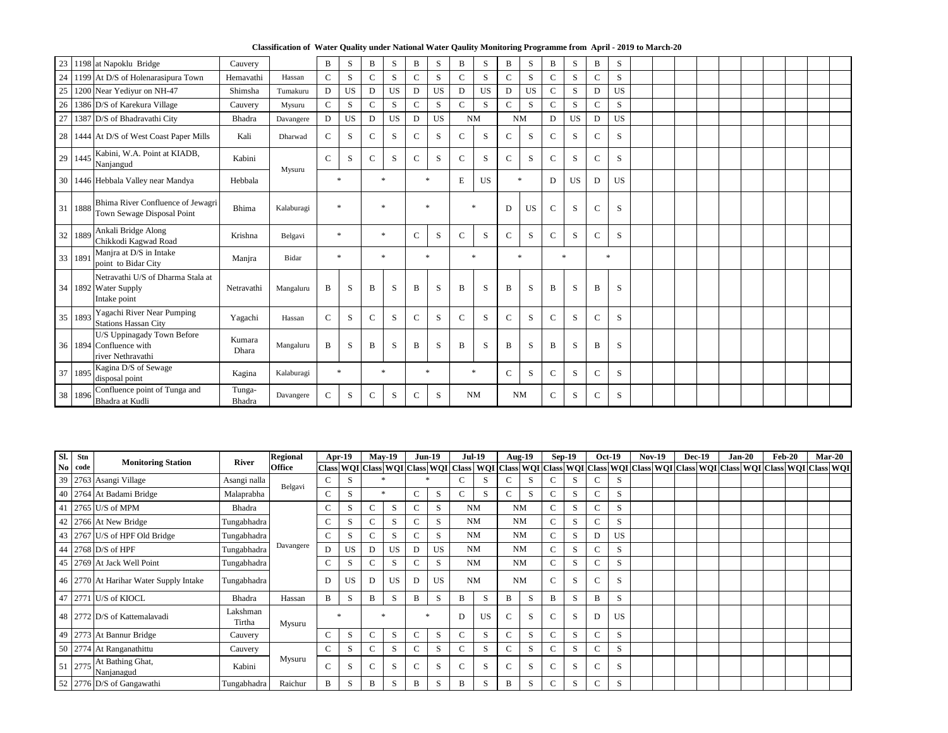**Classification of Water Quality under National Water Qaulity Monitoring Programme from April - 2019 to March-20**

|    |         | 23 1198 at Napoklu Bridge                                                  | Cauvery          |            | B             | S         | $\mathbf{B}$ | S         | B             | S         | $\mathbf B$   | S         | $\bf{B}$      | S         | $\bf{B}$       | S         | $\bf{B}$     | S         |  |  |  |  |  |
|----|---------|----------------------------------------------------------------------------|------------------|------------|---------------|-----------|--------------|-----------|---------------|-----------|---------------|-----------|---------------|-----------|----------------|-----------|--------------|-----------|--|--|--|--|--|
|    |         | 24   1199   At D/S of Holenarasipura Town                                  | Hemavathi        | Hassan     | $\mathbf C$   | S         | $\mathsf{C}$ | S         | $\mathbf C$   | S         | $\mathbf C$   | S         | $\mathsf{C}$  | S         | $\mathbf C$    | S         | $\mathsf{C}$ | S         |  |  |  |  |  |
|    |         | 25 1200 Near Yediyur on NH-47                                              | Shimsha          | Tumakuru   | D             | <b>US</b> | $\mathbf D$  | <b>US</b> | $\mathbf{D}$  | <b>US</b> | ${\bf D}$     | <b>US</b> | D             | <b>US</b> | $\overline{C}$ | S         | $\mathbf D$  | <b>US</b> |  |  |  |  |  |
|    |         | 26   1386   D/S of Karekura Village                                        | Cauvery          | Mysuru     | $\mathbf C$   | S         | $\mathsf{C}$ | S         | $\mathsf{C}$  | S         | $\mathsf{C}$  | S         | $\mathsf{C}$  | S         | $\mathbf C$    | ${\bf S}$ | $\mathsf{C}$ | S         |  |  |  |  |  |
| 27 |         | 1387 D/S of Bhadravathi City                                               | Bhadra           | Davangere  | D             | <b>US</b> | D            | <b>US</b> | D             | <b>US</b> |               | <b>NM</b> | <b>NM</b>     |           | $\mathbf D$    | US        | D            | <b>US</b> |  |  |  |  |  |
|    |         | 28 1444 At D/S of West Coast Paper Mills                                   | Kali             | Dharwad    | $\mathcal{C}$ | S         | $\mathsf{C}$ | S         | $\mathcal{C}$ | S         | $\mathcal{C}$ | S         | $\mathsf{C}$  | S         | $\mathbf C$    | S         | $\mathsf{C}$ | S         |  |  |  |  |  |
|    | 29 1445 | Kabini, W.A. Point at KIADB,<br>Nanjangud                                  | Kabini           | Mysuru     | $\mathsf{C}$  | S         | $\mathsf{C}$ | S         | $\mathsf{C}$  | S         | $\mathbf C$   | S         | $\mathsf{C}$  | S         | $\mathbf C$    | ${\bf S}$ | $\mathsf{C}$ | S         |  |  |  |  |  |
|    |         | 30   1446   Hebbala Valley near Mandya                                     | Hebbala          |            |               | $\ast$    |              | $\ast$    |               | $\ast$    | ${\bf E}$     | <b>US</b> | $\ast$        |           | D              | <b>US</b> | D            | <b>US</b> |  |  |  |  |  |
|    | 31 1888 | Bhima River Confluence of Jewagri<br>Town Sewage Disposal Point            | Bhima            | Kalaburagi |               | $\ast$    |              | $\ast$    |               | $\ast$    |               | $\ast$    | D             | <b>US</b> | $\mathbf C$    | S         | $\mathbf C$  | S         |  |  |  |  |  |
|    | 32 1889 | Ankali Bridge Along<br>Chikkodi Kagwad Road                                | Krishna          | Belgavi    |               | $*$       |              | $*$       | $\mathbf C$   | S         | $\mathcal{C}$ | S         | $\mathcal{C}$ | S         | $\mathbf C$    | S         | $\mathsf{C}$ | S         |  |  |  |  |  |
|    | 33 1891 | Manjra at D/S in Intake<br>point to Bidar City                             | Manjra           | Bidar      |               | $\ast$    |              | $\ast$    |               | $\ast$    |               | $\ast$    | $\ast$        |           |                | $\ast$    |              | $*$       |  |  |  |  |  |
|    |         | Netravathi U/S of Dharma Stala at<br>34 1892 Water Supply<br>Intake point  | Netravathi       | Mangaluru  | $\mathbf{B}$  | S         | $\, {\bf B}$ | S         | $\mathbf{B}$  | S         | $\, {\bf B}$  | S         | $\bf{B}$      | S         | $\mathbf{B}$   | S         | $\, {\bf B}$ | S         |  |  |  |  |  |
|    | 35 1893 | Yagachi River Near Pumping<br><b>Stations Hassan City</b>                  | Yagachi          | Hassan     | $\mathcal{C}$ | S         | $\mathsf{C}$ | S         | $\mathcal{C}$ | S         | $\mathcal{C}$ | S         | $\mathcal{C}$ | S         | $\mathcal{C}$  | S         | $\mathsf{C}$ | S         |  |  |  |  |  |
|    |         | U/S Uppinagady Town Before<br>36 1894 Confluence with<br>river Nethravathi | Kumara<br>Dhara  | Mangaluru  | B             | S         | $\bf{B}$     | S         | $\bf{B}$      | S         | $\bf{B}$      | S         | $\bf{B}$      | S         | $\, {\bf B}$   | S         | $\bf{B}$     | S         |  |  |  |  |  |
|    | 37 1895 | Kagina D/S of Sewage<br>disposal point                                     | Kagina           | Kalaburagi |               | $\ast$    |              | $\ast$    |               | $\ast$    |               | $\ast$    | $\mathbf C$   | S         | $\mathsf{C}$   | ${\bf S}$ | $\mathsf{C}$ | S         |  |  |  |  |  |
|    | 38 1896 | Confluence point of Tunga and<br>Bhadra at Kudli                           | Tunga-<br>Bhadra | Davangere  | $\mathcal{C}$ | S         | $\mathbf C$  | S         | $\mathcal{C}$ | S         |               | <b>NM</b> |               | <b>NM</b> | $\mathcal{C}$  | S         | $\mathbf C$  | S         |  |  |  |  |  |

| Sl.       | <b>Stn</b>     | <b>Monitoring Station</b>                  | <b>River</b>       | <b>Regional</b> |                 | Apr-19       |                    | $May-19$                                |              | $Jun-19$ |               | <b>Jul-19</b> | $\overline{\text{Aug-19}}$ |   |                | <b>Sep-19</b> |        | <b>Oct-19</b> | <b>Nov-19</b>                                                                                       | <b>Dec-19</b> | Jan-20 | $\mathbf{Feb-20}$ |  | <b>Mar-20</b> |
|-----------|----------------|--------------------------------------------|--------------------|-----------------|-----------------|--------------|--------------------|-----------------------------------------|--------------|----------|---------------|---------------|----------------------------|---|----------------|---------------|--------|---------------|-----------------------------------------------------------------------------------------------------|---------------|--------|-------------------|--|---------------|
| <b>No</b> | code           |                                            |                    | <b>Office</b>   |                 |              |                    | Class   WQI   Class   WQI   Class   WQI |              |          | <b>Class</b>  |               |                            |   |                |               |        |               | WQI  Class  WQI  Class  WQI  Class  WQI  Class  WQI  Class  WQI  Class  WQI  Class  WQI  Class  WQI |               |        |                   |  |               |
|           |                | 39   2763   Asangi Village                 | Asangi nalla       | Belgavi         |                 | -S           |                    |                                         |              |          | $\mathsf{C}$  | S             |                            | S |                | S             |        | S.            |                                                                                                     |               |        |                   |  |               |
|           |                | 40   2764   At Badami Bridge               | Malaprabha         |                 | ◡               | S            |                    |                                         |              | S        | $\mathsf{C}$  | S             | $\mathbf C$                | S | $\mathsf{C}$   | S             |        | S             |                                                                                                     |               |        |                   |  |               |
|           |                | 41   2765   U/S of MPM                     | <b>Bhadra</b>      |                 |                 | S            | $\overline{\rm C}$ | S                                       |              | S        |               | <b>NM</b>     | <b>NM</b>                  |   | Ċ              | S             |        | S             |                                                                                                     |               |        |                   |  |               |
|           |                | $\vert$ 42 $\vert$ 2766 At New Bridge      | Tungabhadra        |                 |                 | S            | $\sim$             | S                                       |              | S        |               | <b>NM</b>     | NM                         |   | $\overline{C}$ | S             |        | S             |                                                                                                     |               |        |                   |  |               |
|           |                | 43   2767   U/S of HPF Old Bridge          | Tungabhadra        |                 |                 | <sup>S</sup> | $\sim$             | S                                       | $\mathbf C$  | S        |               | <b>NM</b>     | <b>NM</b>                  |   | $\mathsf{C}$   | S             | D      | US            |                                                                                                     |               |        |                   |  |               |
|           |                | 44 $\left  2768 \right $ D/S of HPF        | Tungabhadra        | Davangere       | D               | US           | D                  | US                                      | D            | US       |               | <b>NM</b>     | <b>NM</b>                  |   | $\mathsf{C}$   | S             |        | S             |                                                                                                     |               |        |                   |  |               |
| 45        |                | 2769 At Jack Well Point                    | Tungabhadra        |                 |                 | S            | $\sim$             | S                                       |              | S.       |               | <b>NM</b>     | NM                         |   | $\sim$         | S             |        | S             |                                                                                                     |               |        |                   |  |               |
|           |                | 46   2770   At Harihar Water Supply Intake | Tungabhadra        |                 | D               | US           |                    | US                                      | D            | US       |               | <b>NM</b>     | NM                         |   | $\sim$         | S             |        | S             |                                                                                                     |               |        |                   |  |               |
|           |                | 47 2771 U/S of KIOCL                       | Bhadra             | Hassan          | B               | S            | B                  | S                                       | $\mathbf{B}$ | S        | $\mathbf{B}$  | S             | B                          | S |                | S             | B      | S             |                                                                                                     |               |        |                   |  |               |
|           |                | 48 2772 D/S of Kattemalavadi               | Lakshman<br>Tirtha | Mysuru          | $\ast$          |              |                    |                                         |              |          | D             | <b>US</b>     | $\sqrt{ }$                 | S | $\sim$         | S             | D      | US            |                                                                                                     |               |        |                   |  |               |
| 49        |                | 2773 At Bannur Bridge                      | Cauvery            |                 |                 | S            | ⌒                  | S                                       |              | S        | $\mathsf{C}$  | S             |                            | S | $\sim$         | S             |        | S             |                                                                                                     |               |        |                   |  |               |
|           |                | 50 2774 At Ranganathittu                   | Cauvery            |                 |                 | S            | $\curvearrowright$ | S                                       |              | S.       | $\mathcal{C}$ | S             | ∪                          | S | $\sim$         | S             |        | S             |                                                                                                     |               |        |                   |  |               |
|           | $51 \mid 2775$ | At Bathing Ghat,<br>Nanjanagud             | Kabini             | Mysuru          | $\sqrt{ }$<br>U | S            | $\sim$             | S                                       | $\sim$       | S        | $\mathbf C$   | S             |                            | S | $\sim$         | S             |        | S             |                                                                                                     |               |        |                   |  |               |
|           |                | 52 2776 D/S of Gangawathi                  | Tungabhadra        | Raichur         | B               | S            | B                  | S                                       | B            | S        | B             | S             | B                          | S | $\sim$<br>U    | S             | ⌒<br>U | S             |                                                                                                     |               |        |                   |  |               |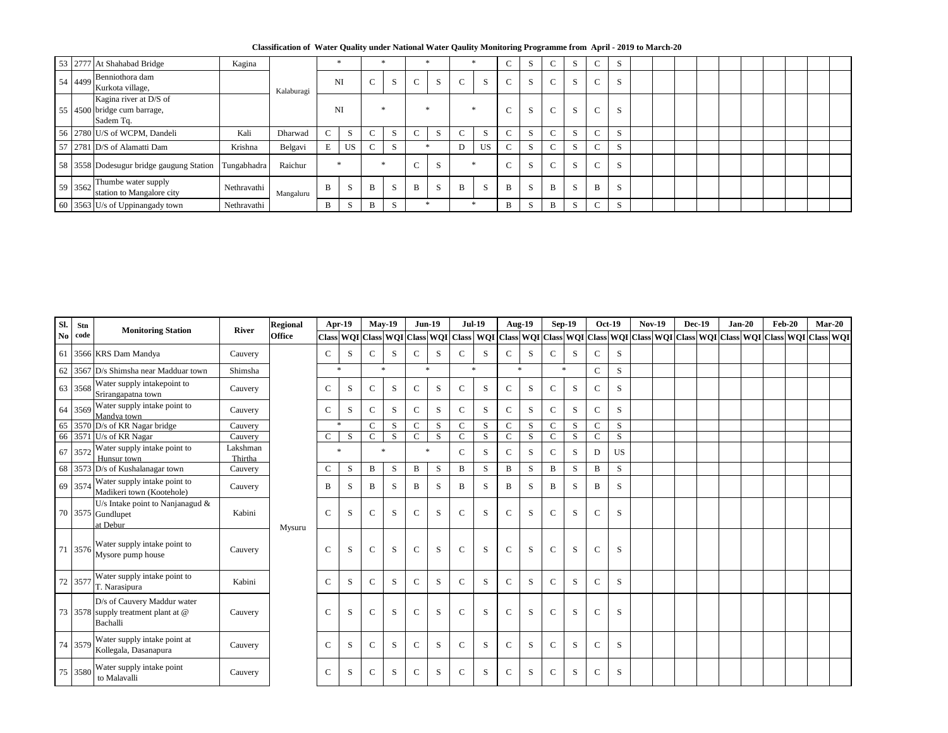**Classification of Water Quality under National Water Qaulity Monitoring Programme from April - 2019 to March-20**

|                       | 53 2777 At Shahabad Bridge                                                         | Kagina      |            |        |                    |                          |   |              |   |              |           |        |              |        | <sub>S</sub> |             | $\Delta$     |  |  |  |  |  |
|-----------------------|------------------------------------------------------------------------------------|-------------|------------|--------|--------------------|--------------------------|---|--------------|---|--------------|-----------|--------|--------------|--------|--------------|-------------|--------------|--|--|--|--|--|
| $\frac{1}{2}$ 54 4499 | Benniothora dam<br>Kurkota village,                                                |             | Kalaburagi |        | NI                 | $\sim$                   |   | $\sim$       | S | $\mathsf{C}$ | S         | $\sim$ | $\mathbf{C}$ | $\sim$ | S            | $\sim$<br>U | S            |  |  |  |  |  |
|                       | Kagina river at D/S of<br>$\vert$ 55 $\vert$ 4500 bridge cum barrage,<br>Sadem Tq. |             |            |        | NI                 |                          |   |              |   |              |           | $\sim$ | $\sim$       | $\sim$ | S            | $\sim$      | S            |  |  |  |  |  |
|                       | 56 2780 U/S of WCPM, Dandeli                                                       | Kali        | Dharwad    | $\sim$ | $\mathbf{C}$<br>D. | $\overline{\phantom{0}}$ |   | $\sim$       |   | $\sim$       | S         | $\sim$ | $\sim$       | $\sim$ | S            | $\sim$      | S            |  |  |  |  |  |
|                       | $\frac{57}{2781}$ D/S of Alamatti Dam                                              | Krishna     | Belgavi    | E      | <b>US</b>          | $\sim$                   |   |              |   | D            | <b>US</b> | $\sim$ | $\sim$       | $\sim$ | S            | $\sim$      | S            |  |  |  |  |  |
|                       | 58 3558 Dodesugur bridge gaugung Station                                           | Tungabhadra | Raichur    | -sk    |                    |                          |   | $\sim$       | C |              |           | $\sim$ | $\sim$       | $\sim$ | S            | $\sim$      | <sub>S</sub> |  |  |  |  |  |
| 59 3562               | Thumbe water supply<br>station to Mangalore city                                   | Nethravathi | Mangaluru  | B      | $\sim$<br>- N      | B                        | S | $\mathbf{B}$ | S | $\mathbf{B}$ | S         | B      | $\sim$       | B      | S            | B           | S            |  |  |  |  |  |
|                       | 60 3563 U/s of Uppinangady town                                                    | Nethravathi |            |        |                    | B                        |   |              |   |              |           | B      |              | B      | S            | $\sim$      | <sub>S</sub> |  |  |  |  |  |

| Sl. | <b>Stn</b> | <b>Monitoring Station</b>                                                             | <b>River</b>        | <b>Regional</b> |               | Apr-19 | <b>May-19</b> |        |               | <b>Jun-19</b> |               | <b>Jul-19</b> | <b>Aug-19</b> |   | <b>Sep-19</b> |           | <b>Oct-19</b> |           | <b>Nov-19</b> | <b>Dec-19</b> | $Jan-20$ | <b>Feb-20</b>                                                                                                                     | $Mar-20$ |  |
|-----|------------|---------------------------------------------------------------------------------------|---------------------|-----------------|---------------|--------|---------------|--------|---------------|---------------|---------------|---------------|---------------|---|---------------|-----------|---------------|-----------|---------------|---------------|----------|-----------------------------------------------------------------------------------------------------------------------------------|----------|--|
|     | No code    |                                                                                       |                     | <b>Office</b>   |               |        |               |        |               |               |               |               |               |   |               |           |               |           |               |               |          | Class WQI Class WQI Class WQI Class WQI Class WQI Class WQI Class WQI Class WQI Class WQI Class WQI Class WQI Class WQI Class WQI |          |  |
|     |            | 61 3566 KRS Dam Mandya                                                                | Cauvery             |                 | $\mathbf C$   | S      | $\mathbf C$   | S      | $\mathsf{C}$  | S             | $\mathcal{C}$ | S             | $\mathcal{C}$ | S | $\mathcal{C}$ | S         | $\mathbf{C}$  | S         |               |               |          |                                                                                                                                   |          |  |
|     |            | 62 3567 D/s Shimsha near Madduar town                                                 | Shimsha             |                 |               | $\ast$ |               | $\ast$ |               | $\ast$        |               | $\ast$        | $\ast$        |   |               | $\ast$    | $\mathbf{C}$  | S         |               |               |          |                                                                                                                                   |          |  |
|     | 63 3568    | Water supply intakepoint to<br>Srirangapatna town                                     | Cauvery             |                 | $\mathsf{C}$  | S      | $\mathsf{C}$  | S      | $\mathcal{C}$ | S             | $\mathsf{C}$  | S             | $\mathbf C$   | S | $\mathbf C$   | S         | $\mathbf{C}$  | S         |               |               |          |                                                                                                                                   |          |  |
|     | 64 3569    | Water supply intake point to<br>Mandya town                                           | Cauvery             |                 | $\mathbf C$   | S      | $\mathbf C$   | S      | $\mathcal{C}$ | S             | $\mathsf{C}$  | S             | $\mathbf C$   | S | $\mathbf C$   | S         | $\mathbf{C}$  | S         |               |               |          |                                                                                                                                   |          |  |
|     | 65 3570    | D/s of KR Nagar bridge                                                                | Cauvery             |                 | ∗             |        | $\mathcal{C}$ | S      | $\mathsf{C}$  | S             | $\mathsf{C}$  | S             | $\mathbf C$   | S | $\mathcal{C}$ | S         | $\mathbf{C}$  | S         |               |               |          |                                                                                                                                   |          |  |
|     |            | 66 3571 U/s of KR Nagar                                                               | Cauvery             |                 | $\mathcal{C}$ | S      | $\mathcal{C}$ | S      | $\mathbf C$   | S             | $\mathbf{C}$  | S             | $\mathbf C$   | S | $\mathbf C$   | S         | $\mathbf{C}$  | S         |               |               |          |                                                                                                                                   |          |  |
|     | 67 3572    | Water supply intake point to<br>Hunsur town                                           | Lakshman<br>Thirtha |                 |               | $\ast$ |               |        |               | $\ast$        | $\mathbf{C}$  | S             | $\mathbf C$   | S | $\mathcal{C}$ | S         | D             | <b>US</b> |               |               |          |                                                                                                                                   |          |  |
|     | 68 3573    | D/s of Kushalanagar town                                                              | Cauvery             |                 | $\mathbf C$   | S      | B             | S      | B             | S             | $\mathbf B$   | S             | $\, {\bf B}$  | S | B             | S         | B             | S         |               |               |          |                                                                                                                                   |          |  |
|     | 69 3574    | Water supply intake point to<br>Madikeri town (Kootehole)                             | Cauvery             |                 | B             | S      | B             | S      | $\mathbf{B}$  | S             | $\mathbf{B}$  | S             | B             | S | B             | S         | B             | S         |               |               |          |                                                                                                                                   |          |  |
|     |            | U/s Intake point to Nanjanagud &<br>70 3575 Gundlupet<br>at Debur                     | Kabini              | Mysuru          | $\mathsf{C}$  | S      | $\mathcal{C}$ | S      | $\mathcal{C}$ | S             | $\mathsf{C}$  | S             | $\mathcal{C}$ | S | $\mathbf C$   | ${\bf S}$ | $\mathbf{C}$  | S         |               |               |          |                                                                                                                                   |          |  |
|     | 71 3576    | Water supply intake point to<br>Mysore pump house                                     | Cauvery             |                 | $\mathsf{C}$  | S      | $\mathcal{C}$ | S      | $\mathbf C$   | S             | $\mathbf C$   | S             | $\mathbf C$   | S | $\mathcal{C}$ | S         | $\mathbf{C}$  | S         |               |               |          |                                                                                                                                   |          |  |
|     | 72 3577    | Water supply intake point to<br>T. Narasipura                                         | Kabini              |                 | $\mathsf{C}$  | S      | $\mathsf{C}$  | S      | $\mathcal{C}$ | S             | $\mathsf{C}$  | S             | $\mathbf C$   | S | $\mathsf{C}$  | S         | $\mathbf{C}$  | S         |               |               |          |                                                                                                                                   |          |  |
|     |            | D/s of Cauvery Maddur water<br>73 3578 supply treatment plant at $\omega$<br>Bachalli | Cauvery             |                 | $\mathsf{C}$  | S      | $\mathcal{C}$ | S      | $\mathbf C$   | S             | $\mathbf C$   | S             | $\mathbf C$   | S | $\mathbf C$   | S         | $\mathbf{C}$  | S         |               |               |          |                                                                                                                                   |          |  |
|     | 74 3579    | Water supply intake point at<br>Kollegala, Dasanapura                                 | Cauvery             |                 | $\mathsf{C}$  | S      | $\mathsf{C}$  | S      | $\mathcal{C}$ | S             | $\mathsf{C}$  | S             | $\mathcal{C}$ | S | $\mathcal{C}$ | S         | $\mathbf C$   | S         |               |               |          |                                                                                                                                   |          |  |
|     | 75 3580    | Water supply intake point<br>to Malavalli                                             | Cauvery             |                 | $\mathbf C$   | S      | $\mathsf{C}$  | S      | $\mathcal{C}$ | S             | $\mathcal{C}$ | S             | $\mathbf C$   | S | $\mathsf{C}$  | S         | $\mathbf C$   | S         |               |               |          |                                                                                                                                   |          |  |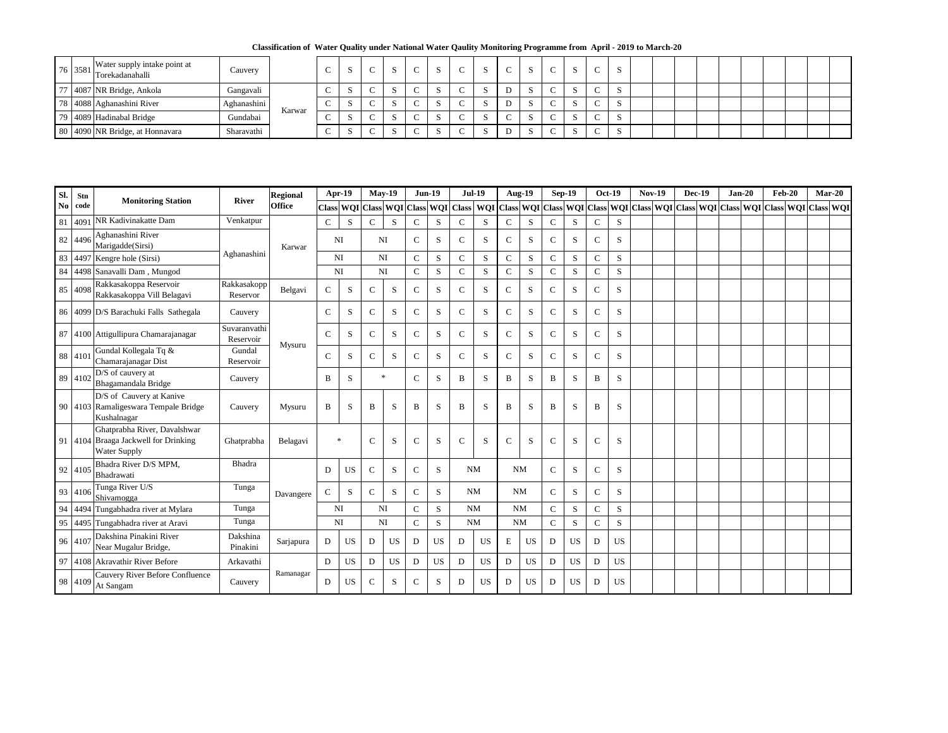**Classification of Water Quality under National Water Qaulity Monitoring Programme from April - 2019 to March-20**

|                | 76 3581 Water supply intake point at<br>Torekadanahalli | Cauvery     |        | N |  | $\sim$ | $\sim$ |        |  | د.   |  |  |  |  |  |  |
|----------------|---------------------------------------------------------|-------------|--------|---|--|--------|--------|--------|--|------|--|--|--|--|--|--|
| $\overline{a}$ | <sup>7</sup> 4087 NR Bridge, Ankola                     | Gangavali   |        |   |  |        | $\sim$ | D<br>◡ |  | N    |  |  |  |  |  |  |
|                | 78 4088 Aghanashini River                               | Aghanashini |        |   |  |        | ⌒      | D      |  | - 11 |  |  |  |  |  |  |
|                | 79 4089 Hadinabal Bridge                                | Gundabai    | Karwar | ◡ |  |        |        |        |  | N    |  |  |  |  |  |  |
|                | 80 4090 NR Bridge, at Honnavara                         | Sharavathi  |        |   |  |        |        | ◡      |  |      |  |  |  |  |  |  |

| SI. | <b>Stn</b> |                                                                                             |                           | <b>Regional</b> |               | $Apr-19$  |               | $May-19$                  |               | $Jun-19$   |               | <b>Jul-19</b>                                                                                           | <b>Aug-19</b> |           |                | <b>Sep-19</b> |              | <b>Oct-19</b> | <b>Nov-19</b> | <b>Dec-19</b> | $Jan-20$ | <b>Feb-20</b> |               | $Mar-20$ |
|-----|------------|---------------------------------------------------------------------------------------------|---------------------------|-----------------|---------------|-----------|---------------|---------------------------|---------------|------------|---------------|---------------------------------------------------------------------------------------------------------|---------------|-----------|----------------|---------------|--------------|---------------|---------------|---------------|----------|---------------|---------------|----------|
|     | No code    | <b>Monitoring Station</b>                                                                   | <b>River</b>              | <b>Office</b>   |               |           |               | Class WQI Class WQI Class |               | <b>WQI</b> |               | Class   WQI   Class   WQI   Class   WQI   Class   WQI   Class   WQI   Class   WQI   Class   WQI   Class |               |           |                |               |              |               |               |               |          |               | WQI Class WQI |          |
| 81  | 4091       | NR Kadivinakatte Dam                                                                        | Venkatpur                 |                 | $\mathsf{C}$  | S         | $\mathbf C$   | S                         | $\mathbf C$   | S          | $\mathsf{C}$  | S                                                                                                       | $\mathbf C$   | S         | $\mathbf C$    | S             | $\mathbf C$  | S             |               |               |          |               |               |          |
|     | 82 4496    | Aghanashini River<br>Marigadde(Sirsi)                                                       |                           | Karwar          |               | <b>NI</b> |               | <b>NI</b>                 | $\mathbf C$   | S          | $\mathcal{C}$ | S                                                                                                       | $\mathbf C$   | S         | $\mathsf{C}$   | S             | $\mathbf C$  | S             |               |               |          |               |               |          |
|     |            | 83 4497 Kengre hole (Sirsi)                                                                 | Aghanashini               |                 |               | <b>NI</b> |               | <b>NI</b>                 | $\mathbf C$   | S          | $\mathbf C$   | S                                                                                                       | $\mathcal{C}$ | S         | $\mathbf C$    | S             | $\mathbf C$  | S             |               |               |          |               |               |          |
|     |            | 84 4498 Sanavalli Dam, Mungod                                                               |                           |                 |               | <b>NI</b> |               | <b>NI</b>                 | $\mathbf C$   | S          | $\mathbf C$   | S                                                                                                       | $\mathcal{C}$ | S         | $\overline{C}$ | S             | $\mathbf C$  | S             |               |               |          |               |               |          |
|     | 85 4098    | Rakkasakoppa Reservoir<br>Rakkasakoppa Vill Belagavi                                        | Rakkasakopp<br>Reservor   | Belgavi         | $\mathsf{C}$  | S         | $\mathcal{C}$ | S                         | $\mathbf C$   | S          | $\mathsf{C}$  | S                                                                                                       | $\mathbf C$   | S         | $\mathbf C$    | S             | $\mathsf{C}$ | S             |               |               |          |               |               |          |
|     |            | 86 4099 D/S Barachuki Falls Sathegala                                                       | Cauvery                   |                 | $\mathsf{C}$  | S         | $\mathcal{C}$ | S                         | $\mathbf C$   | ${\bf S}$  | $\mathbf C$   | S                                                                                                       | $\mathcal{C}$ | S         | $\mathsf{C}$   | S             | $\mathsf{C}$ | S             |               |               |          |               |               |          |
|     |            | 87 4100 Attigullipura Chamarajanagar                                                        | Suvaranvathi<br>Reservoir | Mysuru          | $\mathcal{C}$ | S         | $\mathsf{C}$  | S                         | $\mathbf C$   | S          | $\mathsf{C}$  | S                                                                                                       | $\mathcal{C}$ | S         | $\mathsf{C}$   | S             | $\mathbf C$  | S             |               |               |          |               |               |          |
|     | 88 4101    | Gundal Kollegala Tq &<br>Chamarajanagar Dist                                                | Gundal<br>Reservoir       |                 | $\mathsf{C}$  | S         | $\mathbf{C}$  | S                         | $\mathbf C$   | S          | $\mathcal{C}$ | S                                                                                                       | $\mathcal{C}$ | S         | $\mathsf{C}$   | S             | $\mathbf C$  | S             |               |               |          |               |               |          |
|     | 89 4102    | D/S of cauvery at<br>Bhagamandala Bridge                                                    | Cauvery                   |                 | B             | S         |               |                           | $\mathbf C$   | ${\bf S}$  | $\mathbf{B}$  | S                                                                                                       | $\mathbf B$   | S         | $\bf{B}$       | S             | B            | S             |               |               |          |               |               |          |
|     |            | D/S of Cauvery at Kanive<br>90 4103 Ramaligeswara Tempale Bridge<br>Kushalnagar             | Cauvery                   | Mysuru          | B             | S         | $\mathbf{B}$  | S                         | $\mathbf{B}$  | S          | B             | S                                                                                                       | $\bf{B}$      | S         | $\bf{B}$       | S             | B            | S             |               |               |          |               |               |          |
|     |            | Ghatprabha River, Davalshwar<br>91 4104 Braaga Jackwell for Drinking<br><b>Water Supply</b> | Ghatprabha                | Belagavi        |               | $\ast$    | $\mathbf C$   | S                         | $\mathsf{C}$  | S          | $\mathcal{C}$ | S                                                                                                       | $\mathbf C$   | S         | $\mathsf{C}$   | S             | $\mathbf C$  | S             |               |               |          |               |               |          |
|     | 92 4105    | Bhadra River D/S MPM,<br>Bhadrawati                                                         | Bhadra                    |                 | D             | <b>US</b> | $\mathbf C$   | S                         | $\mathcal{C}$ | S          |               | <b>NM</b>                                                                                               | <b>NM</b>     |           | $\mathbf C$    | S             | $\mathbf C$  | S             |               |               |          |               |               |          |
|     | 93 4106    | Tunga River U/S<br>Shivamogga                                                               | Tunga                     | Davangere       | $\mathbf C$   | S         | $\mathsf{C}$  | S                         | $\mathbf C$   | S          |               | <b>NM</b>                                                                                               | <b>NM</b>     |           | $\mathsf{C}$   | S             | $\mathbf C$  | S             |               |               |          |               |               |          |
|     |            | 94 4494 Tungabhadra river at Mylara                                                         | Tunga                     |                 |               | NI        |               | <b>NI</b>                 | $\mathbf C$   | ${\bf S}$  |               | <b>NM</b>                                                                                               | <b>NM</b>     |           | $\mathsf{C}$   | S             | $\mathbf C$  | S             |               |               |          |               |               |          |
|     |            | 95 4495 Tungabhadra river at Aravi                                                          | Tunga                     |                 |               | NI        |               | <b>NI</b>                 | $\mathbf C$   | ${\bf S}$  |               | NM                                                                                                      | <b>NM</b>     |           | $\mathsf{C}$   | S             | $\mathbf C$  | S.            |               |               |          |               |               |          |
|     | 96 410     | Dakshina Pinakini River<br>Near Mugalur Bridge,                                             | Dakshina<br>Pinakini      | Sarjapura       | D             | <b>US</b> | D             | <b>US</b>                 | D             | <b>US</b>  | D             | <b>US</b>                                                                                               | E             | US        | D              | <b>US</b>     | D            | <b>US</b>     |               |               |          |               |               |          |
|     |            | 97 4108 Akravathir River Before                                                             | Arkavathi                 |                 | D             | <b>US</b> | D             | <b>US</b>                 | D             | <b>US</b>  | $\mathbf D$   | <b>US</b>                                                                                               | D             | <b>US</b> | D              | <b>US</b>     | D            | <b>US</b>     |               |               |          |               |               |          |
|     | 98 4109    | Cauvery River Before Confluence<br>At Sangam                                                | Cauvery                   | Ramanagar       | $\mathbf D$   | <b>US</b> | $\mathsf{C}$  | S                         | $\mathsf{C}$  | S.         | $\mathbf D$   | <b>US</b>                                                                                               | D             | <b>US</b> | D              | <b>US</b>     | D            | <b>US</b>     |               |               |          |               |               |          |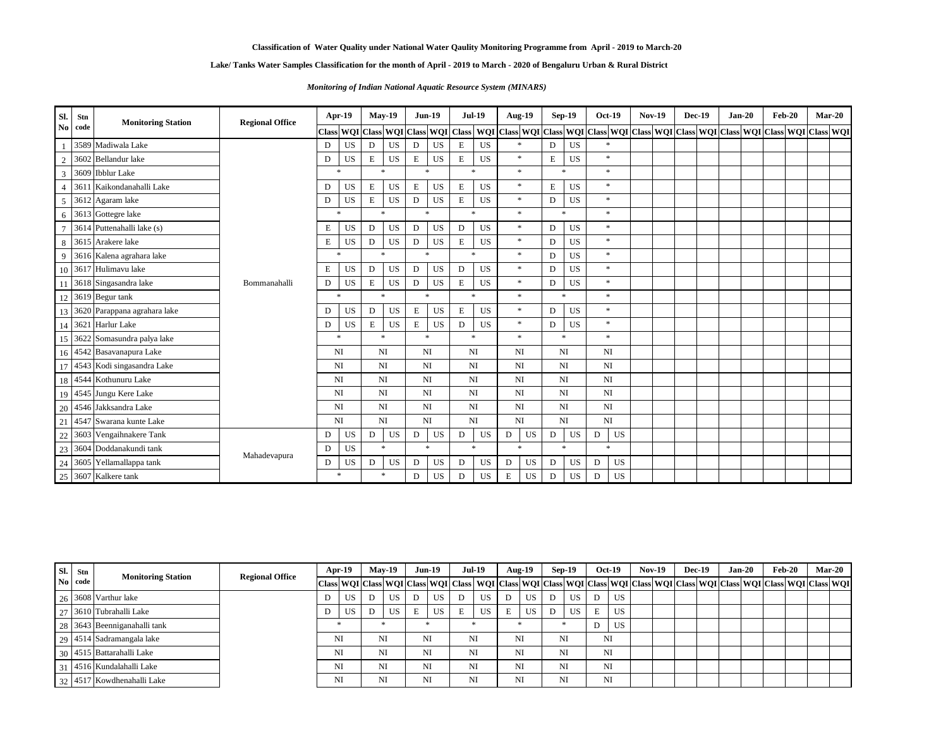**Classification of Water Quality under National Water Qaulity Monitoring Programme from April - 2019 to March-20**

| Sl.                    | <b>Stn</b> | <b>Monitoring Station</b>       | <b>Regional Office</b> | <b>Apr-19</b> |                          |           | $May-19$                      |           | <b>Jun-19</b> |              | <b>Jul-19</b>  | <b>Aug-19</b>                                                                                 |           | <b>Sep-19</b>          |   | <b>Oct-19</b> | <b>Nov-19</b> |  | <b>Dec-19</b> | $Jan-20$ | <b>Feb-20</b> | $Mar-20$ |  |
|------------------------|------------|---------------------------------|------------------------|---------------|--------------------------|-----------|-------------------------------|-----------|---------------|--------------|----------------|-----------------------------------------------------------------------------------------------|-----------|------------------------|---|---------------|---------------|--|---------------|----------|---------------|----------|--|
| $\mathbf{N}\mathbf{0}$ | code       |                                 |                        |               |                          |           | Class WQI Class WQI Class WQI |           |               | <b>Class</b> |                | WQI Class WQI Class WQI Class WQI Class WQI Class WQI Class WQI Class WQI Class WQI Class WQI |           |                        |   |               |               |  |               |          |               |          |  |
|                        |            | 3589 Madiwala Lake              |                        | D             | <b>US</b>                | D         | <b>US</b>                     | D         | <b>US</b>     | ${\bf E}$    | <b>US</b>      | $\ast$                                                                                        | D         | <b>US</b>              |   |               |               |  |               |          |               |          |  |
| $\overline{2}$         |            | 3602 Bellandur lake             |                        | D             | <b>US</b>                | ${\bf E}$ | <b>US</b>                     | ${\bf E}$ | <b>US</b>     | ${\bf E}$    | <b>US</b>      | $\ast$                                                                                        | ${\bf E}$ | <b>US</b>              |   | $\ast$        |               |  |               |          |               |          |  |
| $\overline{3}$         |            | 3609 Ibblur Lake                |                        | $\ast$        |                          |           | $\star$                       |           | $\ast$        |              | $\mathbf{x}$   | $\ast$                                                                                        |           | $\ast$                 |   | $*$           |               |  |               |          |               |          |  |
| $\overline{4}$         |            | 3611 Kaikondanahalli Lake       |                        | D             | <b>US</b>                | ${\bf E}$ | <b>US</b>                     | ${\bf E}$ | <b>US</b>     | ${\bf E}$    | <b>US</b>      | $\ast$                                                                                        | E         | <b>US</b>              |   | $\ast$        |               |  |               |          |               |          |  |
| 5                      |            | 3612 Agaram lake                |                        | $\mathbf D$   | <b>US</b>                | ${\bf E}$ | <b>US</b>                     | D         | <b>US</b>     | ${\bf E}$    | <b>US</b>      | $\ast$                                                                                        | D         | <b>US</b>              |   | $\ast$        |               |  |               |          |               |          |  |
| 6                      |            | 3613 Gottegre lake              |                        | $\ast$        |                          |           | $\ast$                        |           | $\ast$        |              | $\pmb{\times}$ | $\ast$                                                                                        |           | $\ast$                 |   | $\ast$        |               |  |               |          |               |          |  |
| $\overline{7}$         |            | 3614 Puttenahalli lake (s)      |                        | ${\bf E}$     | <b>US</b>                | D         | <b>US</b>                     | D         | <b>US</b>     | ${\bf D}$    | <b>US</b>      | $\ast$                                                                                        | D         | <b>US</b>              |   | $\ast$        |               |  |               |          |               |          |  |
| 8                      |            | 3615 Arakere lake               |                        | ${\bf E}$     | <b>US</b>                | D         | <b>US</b>                     | D         | <b>US</b>     | ${\bf E}$    | <b>US</b>      | $\ast$                                                                                        | D         | <b>US</b>              |   | $\ast$        |               |  |               |          |               |          |  |
| 9                      |            | 3616 Kalena agrahara lake       |                        | $\ast$        |                          |           | $\ast$                        |           | $\ast$        |              | $\star$        | $\ast$                                                                                        | D         | <b>US</b>              |   | $\ast$        |               |  |               |          |               |          |  |
|                        |            | 10 3617 Hulimavu lake           |                        | $\mathbf E$   | <b>US</b>                | D         | <b>US</b>                     | D         | <b>US</b>     | $\mathbf{D}$ | <b>US</b>      | $\ast$                                                                                        | D         | <b>US</b>              |   | $\ast$        |               |  |               |          |               |          |  |
|                        |            | 11 3618 Singasandra lake        | Bommanahalli           | $\mathbf D$   | <b>US</b>                | E         | <b>US</b>                     | D         | <b>US</b>     | ${\bf E}$    | <b>US</b>      | $\ast$                                                                                        | D         | <b>US</b>              |   | $\ast$        |               |  |               |          |               |          |  |
|                        |            | 12 3619 Begur tank              |                        | $\ast$        |                          |           | $\ast$                        |           | $\ast$        |              | $\ast$         | $\ast$                                                                                        |           | $\ast$                 |   | $\ast$        |               |  |               |          |               |          |  |
|                        |            | 13 3620 Parappana agrahara lake |                        | D             | <b>US</b>                | D         |                               | E         | <b>US</b>     | E            | <b>US</b>      | $\ast$                                                                                        | D         | <b>US</b>              |   | $\ast$        |               |  |               |          |               |          |  |
|                        |            | 14 3621 Harlur Lake             |                        | D             | <b>US</b>                | ${\bf E}$ |                               | E         | <b>US</b>     | $\mathbf D$  | <b>US</b>      | $\ast$                                                                                        | D         | <b>US</b>              |   | $\ast$        |               |  |               |          |               |          |  |
|                        |            | 15 3622 Somasundra palya lake   |                        | $\ast$        |                          |           | $*$                           |           | $*$           |              | $\ast$         | $\ast$                                                                                        |           | $\ast$                 |   | $\ast$        |               |  |               |          |               |          |  |
|                        |            | 16 4542 Basavanapura Lake       |                        | <b>NI</b>     |                          |           | <b>NI</b>                     |           | NI            |              | NI             | <b>NI</b>                                                                                     |           | <b>NI</b>              |   | <b>NI</b>     |               |  |               |          |               |          |  |
|                        |            | 17 4543 Kodi singasandra Lake   |                        | <b>NI</b>     |                          |           | <b>NI</b>                     | <b>NI</b> |               |              | NI             | <b>NI</b>                                                                                     |           | NI                     |   | <b>NI</b>     |               |  |               |          |               |          |  |
|                        |            | 18 4544 Kothunuru Lake          |                        |               | <b>NI</b>                |           | <b>NI</b>                     | <b>NI</b> |               |              | NI             | <b>NI</b>                                                                                     |           | NI                     |   | <b>NI</b>     |               |  |               |          |               |          |  |
|                        |            | 19 4545 Jungu Kere Lake         |                        |               | <b>NI</b>                |           | NI                            |           | NI            |              | NI             | <b>NI</b>                                                                                     |           | NI                     |   | NI            |               |  |               |          |               |          |  |
| 20                     |            | 4546 Jakksandra Lake            |                        |               | <b>NI</b>                |           | NI                            | <b>NI</b> |               |              | NI             | <b>NI</b>                                                                                     |           | NI                     |   | <b>NI</b>     |               |  |               |          |               |          |  |
| 21                     |            | 4547 Swarana kunte Lake         |                        |               | <b>NI</b>                |           | NI                            | <b>NI</b> |               |              | NI             | <b>NI</b>                                                                                     |           | $\mathbf{N}\mathbf{I}$ |   | <b>NI</b>     |               |  |               |          |               |          |  |
| $22\,$                 |            | 3603 Vengaihnakere Tank         |                        | D             | <b>US</b><br>D           |           | <b>US</b>                     | D         | <b>US</b>     | D            | <b>US</b>      | $\mathbf D$<br><b>US</b>                                                                      | D         | <b>US</b>              | D | <b>US</b>     |               |  |               |          |               |          |  |
|                        |            | 23 3604 Doddanakundi tank       |                        | D             | <b>US</b>                |           | $\ast$                        |           | $\ast$        |              | $\ast$         | $\ast$                                                                                        |           | $\ast$                 |   | $\ast$        |               |  |               |          |               |          |  |
| 24                     |            | 3605 Yellamallappa tank         | Mahadevapura           | D             | <b>US</b><br>$\mathbf D$ |           | <b>US</b>                     | D         | <b>US</b>     | $\mathbf{D}$ | <b>US</b>      | <b>US</b><br>$\mathbf D$                                                                      | D         | <b>US</b>              | D | <b>US</b>     |               |  |               |          |               |          |  |
|                        |            | 25 3607 Kalkere tank            |                        | $\ast$        |                          |           | $\ast$                        | D         | <b>US</b>     | $\mathbf D$  | <b>US</b>      | E<br><b>US</b>                                                                                | D         | <b>US</b>              | D | <b>US</b>     |               |  |               |          |               |          |  |

| SI. | Stn            |                                 | <b>Regional Office</b> |           | $Apr-19$  |     | $May-19$ | $Jun-19$  |   | $Jul-19$                                                                                                                          |    | Aug- $19$ | $Sep-19$  |   | <b>Oct-19</b> | <b>Nov-19</b> |  | <b>Dec-19</b> | <b>Jan-20</b> | Feb-20 | $Mar-20$ |
|-----|----------------|---------------------------------|------------------------|-----------|-----------|-----|----------|-----------|---|-----------------------------------------------------------------------------------------------------------------------------------|----|-----------|-----------|---|---------------|---------------|--|---------------|---------------|--------|----------|
|     | $\bf{No}$ code | <b>Monitoring Station</b>       |                        |           |           |     |          |           |   | Class WQI Class WQI Class WQI Class WQI Class WQI Class WQI Class WQI Class WQI Class WQI Class WQI Class WQI Class WQI Class WQI |    |           |           |   |               |               |  |               |               |        |          |
|     |                | $\frac{126}{3608}$ Varthur lake |                        | D         |           |     | US       | <b>US</b> |   | <b>US</b>                                                                                                                         |    | <b>US</b> | <b>US</b> |   | <b>US</b>     |               |  |               |               |        |          |
|     |                | 27 3610 Tubrahalli Lake         |                        | D         | US        |     |          | <b>US</b> | E | <b>US</b>                                                                                                                         | E  | <b>US</b> | <b>US</b> | E | <b>US</b>     |               |  |               |               |        |          |
|     |                | 28 3643 Beenniganahalli tank    |                        |           |           | US- |          |           |   |                                                                                                                                   |    |           |           |   | US            |               |  |               |               |        |          |
|     |                | 29   4514   Sadramangala lake   |                        |           | <b>NI</b> |     | NI       | NI        |   | <b>NI</b>                                                                                                                         | NI |           | NI        |   | NI            |               |  |               |               |        |          |
|     |                | 30 4515 Battarahalli Lake       |                        |           | <b>NI</b> |     | NI       | NI        |   | <b>NI</b>                                                                                                                         | NI |           | NI        |   | NI            |               |  |               |               |        |          |
|     |                | 31 4516 Kundalahalli Lake       |                        | <b>NI</b> |           | NI  |          | NI        |   | <b>NI</b>                                                                                                                         | NI |           | NI        |   | NI            |               |  |               |               |        |          |
|     |                | 32 4517 Kowdhenahalli Lake      |                        |           | NI        |     | NI       | NI        |   | <b>NI</b>                                                                                                                         | NI |           | NI        |   | NI            |               |  |               |               |        |          |

**Lake/ Tanks Water Samples Classification for the month of April - 2019 to March - 2020 of Bengaluru Urban & Rural District**

*Monitoring of Indian National Aquatic Resource System (MINARS)*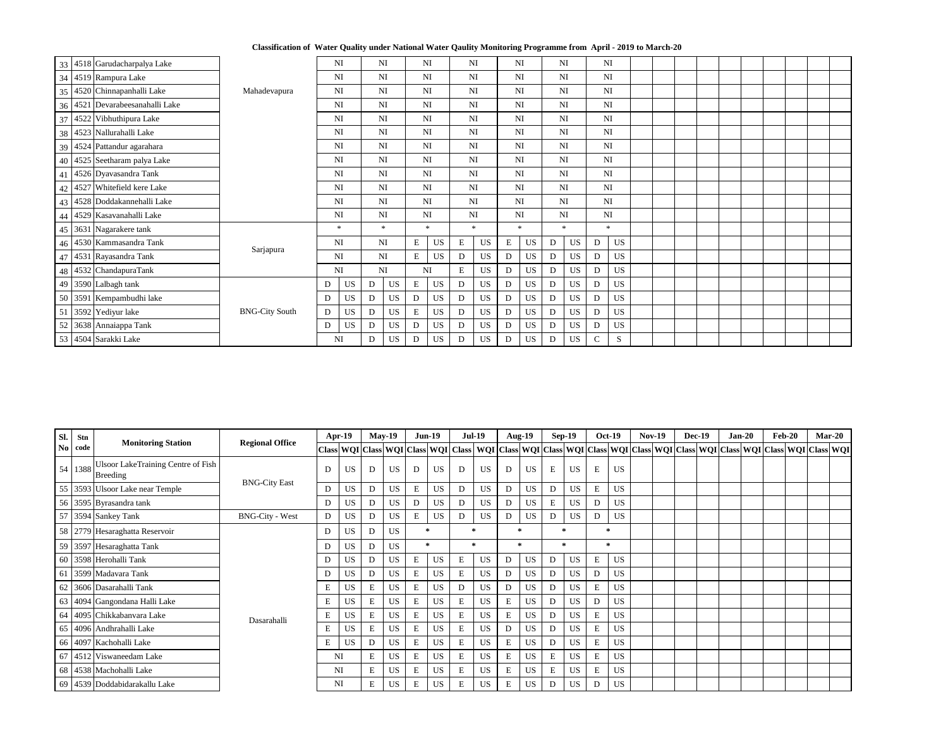**Classification of Water Quality under National Water Qaulity Monitoring Programme from April - 2019 to March-20**

|    | 33 4518 Garudacharpalya Lake    |                       |           | NI        |                 | <b>NI</b> |                 | NI        |              | NI        | NI          |           |   | NI        |             | NI        |  |  |  |  |  |
|----|---------------------------------|-----------------------|-----------|-----------|-----------------|-----------|-----------------|-----------|--------------|-----------|-------------|-----------|---|-----------|-------------|-----------|--|--|--|--|--|
|    | 34 4519 Rampura Lake            |                       | <b>NI</b> |           |                 | NI        |                 | <b>NI</b> |              | NI        | NI          |           |   | NI        | <b>NI</b>   |           |  |  |  |  |  |
|    | 35 4520 Chinnapanhalli Lake     | Mahadevapura          |           | NI        |                 | <b>NI</b> |                 | NI        |              | NI        | NI          |           |   | NI        |             | NI        |  |  |  |  |  |
|    | 36 4521 Devarabeesanahalli Lake |                       | <b>NI</b> |           |                 | <b>NI</b> |                 | <b>NI</b> |              | NI        | <b>NI</b>   |           |   | <b>NI</b> | <b>NI</b>   |           |  |  |  |  |  |
|    | 37 4522 Vibhuthipura Lake       |                       | <b>NI</b> |           |                 | <b>NI</b> |                 | <b>NI</b> |              | NI        | <b>NI</b>   |           |   | NI        | <b>NI</b>   |           |  |  |  |  |  |
|    | 38 4523 Nallurahalli Lake       |                       | <b>NI</b> |           |                 | <b>NI</b> |                 | <b>NI</b> |              | NI        | <b>NI</b>   |           |   | NI        | <b>NI</b>   |           |  |  |  |  |  |
|    | 39 4524 Pattandur agarahara     |                       | <b>NI</b> |           |                 | <b>NI</b> |                 | <b>NI</b> |              | NI        | <b>NI</b>   |           |   | NI        | <b>NI</b>   |           |  |  |  |  |  |
|    | 40 4525 Seetharam palya Lake    |                       | <b>NI</b> |           |                 | NI        | <b>NI</b>       |           |              | NI        | NI          |           |   | NI        | <b>NI</b>   |           |  |  |  |  |  |
|    | 41 4526 Dyavasandra Tank        |                       | <b>NI</b> |           |                 | <b>NI</b> |                 | <b>NI</b> |              | NI        | <b>NI</b>   |           |   | NI        | <b>NI</b>   |           |  |  |  |  |  |
|    | 42 4527 Whitefield kere Lake    |                       | <b>NI</b> |           |                 | NI        |                 | <b>NI</b> |              | NI        | <b>NI</b>   |           |   | NI        | <b>NI</b>   |           |  |  |  |  |  |
|    | 43 4528 Doddakannehalli Lake    |                       | <b>NI</b> |           | <b>NI</b><br>NI |           |                 | <b>NI</b> |              | NI        | <b>NI</b>   |           |   | NI        | <b>NI</b>   |           |  |  |  |  |  |
|    | 44 4529 Kasavanahalli Lake      |                       | <b>NI</b> |           |                 |           |                 | <b>NI</b> |              | NI        | <b>NI</b>   |           |   | NI        | <b>NI</b>   |           |  |  |  |  |  |
|    | 45 3631 Nagarakere tank         |                       |           | $\ast$    |                 | $\ast$    |                 | $\ast$    |              | $\ast$    | $\ast$      |           |   | $\ast$    |             | $\ast$    |  |  |  |  |  |
|    | 46 4530 Kammasandra Tank        | Sarjapura             | <b>NI</b> |           |                 | NI        | $E_{\parallel}$ | <b>US</b> | E            | <b>US</b> | ${\bf E}$   | <b>US</b> | D | <b>US</b> | D           | <b>US</b> |  |  |  |  |  |
|    | 47 4531 Rayasandra Tank         |                       | <b>NI</b> |           |                 | NI        | E               | <b>US</b> | $\mathbf{D}$ | <b>US</b> | $\mathbf D$ | <b>US</b> | D | <b>US</b> | D           | <b>US</b> |  |  |  |  |  |
|    | 48 4532 ChandapuraTank          |                       | <b>NI</b> |           | NI              |           | <b>NI</b>       |           | E            | <b>US</b> | D           | <b>US</b> | D | <b>US</b> | D           | <b>US</b> |  |  |  |  |  |
|    | 49 3590 Lalbagh tank            |                       | D         | <b>US</b> | D               | <b>US</b> | E               | <b>US</b> | $\mathbf D$  | <b>US</b> | D           | <b>US</b> | D | <b>US</b> | D           | <b>US</b> |  |  |  |  |  |
|    | 50 3591 Kempambudhi lake        |                       | D         | <b>US</b> | D               | <b>US</b> | D               | US        | $\mathbf D$  | <b>US</b> | D           | <b>US</b> | D | <b>US</b> | D           | <b>US</b> |  |  |  |  |  |
|    | 51 3592 Yediyur lake            | <b>BNG-City South</b> | D         | <b>US</b> | D               | <b>US</b> | E               | <b>US</b> | $\mathbf D$  | <b>US</b> | D           | <b>US</b> | D | <b>US</b> | D           | <b>US</b> |  |  |  |  |  |
| 52 | 3638 Annaiappa Tank             |                       | D         | <b>US</b> | D               |           | D               | US        | D            | <b>US</b> | D           | <b>US</b> | D | <b>US</b> | D           | <b>US</b> |  |  |  |  |  |
|    | 53 4504 Sarakki Lake            |                       |           | <b>NI</b> | D               | <b>US</b> | D               | US        | D            | <b>US</b> | D           | <b>US</b> | D | <b>US</b> | $\mathbf C$ | S         |  |  |  |  |  |

| Sl. | Stn       | <b>Monitoring Station</b>                                    | <b>Regional Office</b> |              | $Apr-19$  |   | <b>May-19</b> |                 | $Jun-19$  |             | <b>Jul-19</b>                                                                                                                                                                       |           | <b>Aug-19</b> |             | $Sep-19$  |           | <b>Oct-19</b> | <b>Nov-19</b> | <b>Dec-19</b> | $Jan-20$ | $\mathbf{Feb-20}$ | <b>Mar-20</b> |
|-----|-----------|--------------------------------------------------------------|------------------------|--------------|-----------|---|---------------|-----------------|-----------|-------------|-------------------------------------------------------------------------------------------------------------------------------------------------------------------------------------|-----------|---------------|-------------|-----------|-----------|---------------|---------------|---------------|----------|-------------------|---------------|
|     | No code   |                                                              |                        |              |           |   |               |                 |           |             | Class   WQI   Class   WQI   Class   WQI   Class   WQI   Class   WQI   Class   WQI   Class   WQI   Class   WQI   Class   WQI   Class   WQI   Class   WQI   Class   WQI   Class   WQI |           |               |             |           |           |               |               |               |          |                   |               |
|     | 54   1388 | <b>Ulsoor LakeTraining Centre of Fish</b><br><b>Breeding</b> |                        | D            | <b>US</b> | D | <b>US</b>     | D               | <b>US</b> | D           | <b>US</b>                                                                                                                                                                           | D         | <b>US</b>     | E           | <b>US</b> | ${\bf E}$ | <b>US</b>     |               |               |          |                   |               |
|     |           | 55 3593 Ulsoor Lake near Temple                              | <b>BNG-City East</b>   | D            | <b>US</b> |   | <b>US</b>     | E               | <b>US</b> | D           | <b>US</b>                                                                                                                                                                           | D         | <b>US</b>     | D           | <b>US</b> | E         | <b>US</b>     |               |               |          |                   |               |
|     |           | 56 3595 Byrasandra tank                                      |                        | D            | <b>US</b> | D | <b>US</b>     | D               | US        | D           | <b>US</b>                                                                                                                                                                           | D         | <b>US</b>     | ${\bf E}$   | <b>US</b> | D         | <b>US</b>     |               |               |          |                   |               |
|     |           | 57 3594 Sankey Tank                                          | <b>BNG-City - West</b> | $\mathbf{D}$ | <b>US</b> | D | <b>US</b>     | $E_{\parallel}$ | <b>US</b> | D           | <b>US</b>                                                                                                                                                                           | D         | <b>US</b>     | D           | <b>US</b> | D         | <b>US</b>     |               |               |          |                   |               |
|     |           | 58   2779   Hesaraghatta Reservoir                           |                        | D            | <b>US</b> |   | <b>US</b>     | $\star$         |           | 金           |                                                                                                                                                                                     | $\ast$    |               |             |           |           | *             |               |               |          |                   |               |
|     |           | 59 3597 Hesaraghatta Tank                                    |                        | D            | US        |   | <b>US</b>     | $\ast$          |           |             | $\star$                                                                                                                                                                             | $\ast$    |               |             | $\ast$    |           | $\ast$        |               |               |          |                   |               |
|     |           | 60 3598 Herohalli Tank                                       |                        | D            | US        |   | <b>US</b>     | E               | <b>US</b> | E           | <b>US</b>                                                                                                                                                                           | D         | <b>US</b>     | D           | <b>US</b> | E         | <b>US</b>     |               |               |          |                   |               |
|     |           | 61 3599 Madavara Tank                                        |                        | D            | US        |   | <b>US</b>     | E               | <b>US</b> | E           | <b>US</b>                                                                                                                                                                           | D         | <b>US</b>     | D           | <b>US</b> | D         | <b>US</b>     |               |               |          |                   |               |
|     |           | 62 3606 Dasarahalli Tank                                     |                        | E            | <b>US</b> | E | <b>US</b>     | E               | <b>US</b> | D           | <b>US</b>                                                                                                                                                                           | D         | <b>US</b>     | D           | <b>US</b> | ${\bf E}$ | <b>US</b>     |               |               |          |                   |               |
|     |           | 63 4094 Gangondana Halli Lake                                |                        | E            | <b>US</b> | E | <b>US</b>     | E               | <b>US</b> | E           | <b>US</b>                                                                                                                                                                           | ${\bf E}$ | <b>US</b>     | D           | <b>US</b> | D         | <b>US</b>     |               |               |          |                   |               |
|     |           | 64 4095 Chikkabanyara Lake                                   | Dasarahalli            | E            | <b>US</b> | Ε | <b>US</b>     | E               | <b>US</b> | ${\bf E}$   | <b>US</b>                                                                                                                                                                           | E         | <b>US</b>     | $\mathbf D$ | US        | E         | <b>US</b>     |               |               |          |                   |               |
|     |           | 65 4096 Andhrahalli Lake                                     |                        | E            | US        | Ε | <b>US</b>     | E               | <b>US</b> | $\mathbf E$ | <b>US</b>                                                                                                                                                                           | D         | <b>US</b>     | $\mathbf D$ | US        | E         | <b>US</b>     |               |               |          |                   |               |
|     |           | 66 4097 Kachohalli Lake                                      |                        | E            | US        |   | <b>US</b>     | E               | <b>US</b> | E           | <b>US</b>                                                                                                                                                                           | E         | <b>US</b>     | D           | US        | E         | <b>US</b>     |               |               |          |                   |               |
|     |           | 67 4512 Viswaneedam Lake                                     |                        |              | NI        | E | <b>US</b>     | E               | <b>US</b> | E           | <b>US</b>                                                                                                                                                                           | E         | <b>US</b>     | E           | <b>US</b> | E         | US <b>US</b>  |               |               |          |                   |               |
|     |           | 68 4538 Machohalli Lake                                      |                        |              | NI        | E | <b>US</b>     | E               | <b>US</b> | E           | <b>US</b>                                                                                                                                                                           | E         | <b>US</b>     | E           | US        | $E_{\rm}$ | US            |               |               |          |                   |               |
|     |           | 69 4539 Doddabidarakallu Lake                                |                        |              | NI        | Ε | <b>US</b>     | E               | <b>US</b> | E           | <b>US</b>                                                                                                                                                                           | ${\bf E}$ | <b>US</b>     | D           | US        | D         | <b>US</b>     |               |               |          |                   |               |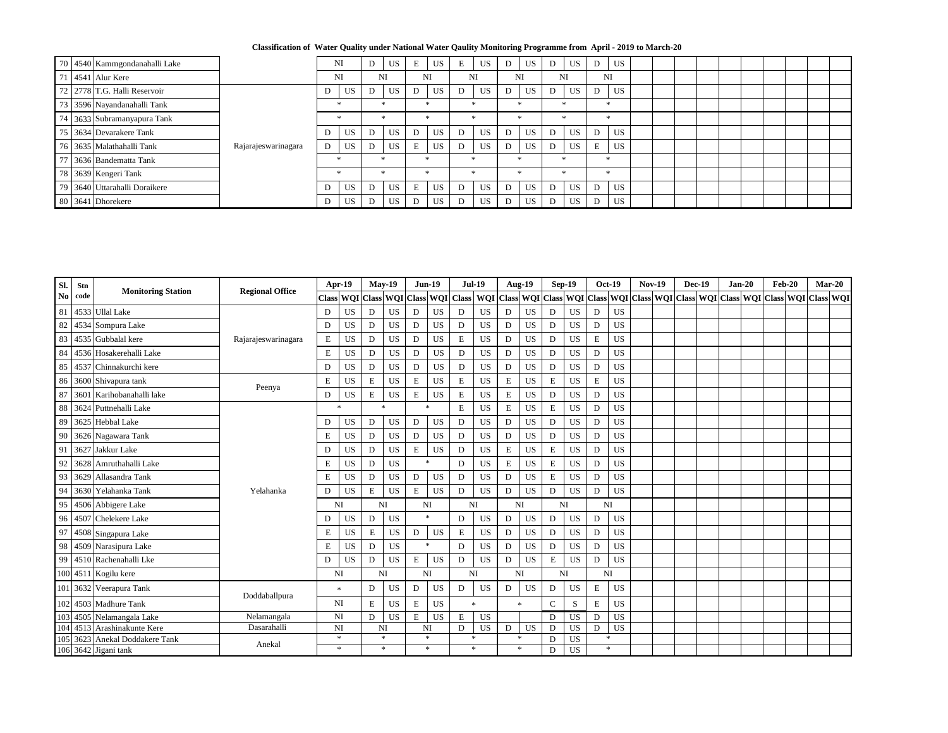**Classification of Water Quality under National Water Qaulity Monitoring Programme from April - 2019 to March-20**

|  | 70 4540 Kammgondanahalli Lake |                     |   | NI        |   | <b>US</b> | E | <b>US</b> | E | <b>US</b> | D  | <b>US</b> | D | <b>US</b> | D              | US <sup>-</sup> |  |  |  |  |
|--|-------------------------------|---------------------|---|-----------|---|-----------|---|-----------|---|-----------|----|-----------|---|-----------|----------------|-----------------|--|--|--|--|
|  | 71 4541 Alur Kere             |                     |   | NI        |   | <b>NI</b> |   | NI        |   | <b>NI</b> | NI |           |   | NI        |                | NI              |  |  |  |  |
|  | 72 2778 T.G. Halli Reservoir  |                     |   | <b>US</b> |   | <b>US</b> |   | <b>US</b> | D | <b>US</b> | D  | <b>US</b> |   | <b>US</b> |                | <b>US</b>       |  |  |  |  |
|  | 73 3596 Nayandanahalli Tank   |                     |   |           |   |           |   |           |   |           |    |           |   | $\ast$    |                |                 |  |  |  |  |
|  | 74 3633 Subramanyapura Tank   |                     |   |           |   |           |   |           |   |           |    |           |   |           |                |                 |  |  |  |  |
|  | 75 3634 Devarakere Tank       |                     |   | <b>US</b> |   | <b>US</b> |   | US \      | D | <b>US</b> | D  | <b>US</b> |   | <b>US</b> | D              | <b>US</b>       |  |  |  |  |
|  | 76 3635 Malathahalli Tank     | Rajarajeswarinagara | D | <b>US</b> |   | <b>US</b> | E | US.       | D | <b>US</b> | D  | <b>US</b> | D | <b>US</b> | $\blacksquare$ | U <sub>S</sub>  |  |  |  |  |
|  | 77 3636 Bandematta Tank       |                     |   | ×         |   |           |   |           |   |           |    |           |   |           |                | ×               |  |  |  |  |
|  | 78 3639 Kengeri Tank          |                     |   |           |   |           |   |           |   |           |    |           |   |           |                |                 |  |  |  |  |
|  | 79 3640 Uttarahalli Doraikere |                     |   | <b>US</b> |   | US        | E | US.       | D | <b>US</b> | D  | <b>US</b> | D | <b>US</b> | D              | <b>US</b>       |  |  |  |  |
|  | 80 3641 Dhorekere             |                     |   | US        | D | US        |   | US        | D | <b>US</b> | D  | <b>US</b> | D | US        | D              | <b>US</b>       |  |  |  |  |

| SI.            | <b>Stn</b> |                             | <b>Regional Office</b> | Apr-19      |                  |             | <b>May-19</b>                                   |             | <b>Jun-19</b>    |              | <b>Jul-19</b> |              | <b>Aug-19</b>    |             | <b>Sep-19</b> |              | <b>Oct-19</b> | <b>Nov-19</b> | <b>Dec-19</b> | $Jan-20$ | $Feb-20$                                                                                                      |  | $Mar-20$ |
|----------------|------------|-----------------------------|------------------------|-------------|------------------|-------------|-------------------------------------------------|-------------|------------------|--------------|---------------|--------------|------------------|-------------|---------------|--------------|---------------|---------------|---------------|----------|---------------------------------------------------------------------------------------------------------------|--|----------|
| N <sub>0</sub> | code       | <b>Monitoring Station</b>   |                        |             |                  |             | Class   WQI   Class   WQI   Class   WQI   Class |             |                  |              |               |              |                  |             |               |              |               |               |               |          | WQI   Class   WQI   Class   WQI   Class   WQI   Class   WQI   Class   WQI   Class   WQI   Class   WQI   Class |  |          |
| 81             |            | 4533 Ullal Lake             |                        | D           | <b>US</b>        | D           | <b>US</b>                                       | D           | <b>US</b>        | D            | <b>US</b>     | D            | <b>US</b>        | D           | <b>US</b>     | D            | <b>US</b>     |               |               |          |                                                                                                               |  |          |
| 82             |            | 4534 Sompura Lake           |                        | D           | <b>US</b>        | D           | <b>US</b>                                       | D           | <b>US</b>        | $\mathbf D$  | <b>US</b>     | $\mathbf D$  | US               | D           | <b>US</b>     | D            | <b>US</b>     |               |               |          |                                                                                                               |  |          |
| 83             |            | 4535 Gubbalal kere          | Rajarajeswarinagara    | ${\bf E}$   | <b>US</b>        | D           | <b>US</b>                                       | D           | <b>US</b>        | ${\bf E}$    | <b>US</b>     | D            | <b>US</b>        | ${\bf D}$   | <b>US</b>     | ${\bf E}$    | <b>US</b>     |               |               |          |                                                                                                               |  |          |
| 84             |            | 4536 Hosakerehalli Lake     |                        | E           | <b>US</b>        | D           | <b>US</b>                                       | D           | <b>US</b>        | D            | <b>US</b>     | D            | <b>US</b>        | D           | <b>US</b>     | D            | <b>US</b>     |               |               |          |                                                                                                               |  |          |
| 85             |            | 4537 Chinnakurchi kere      |                        | ${\bf D}$   | <b>US</b>        | $\mathbf D$ | <b>US</b>                                       | $\mathbf D$ | <b>US</b>        | ${\bf D}$    | <b>US</b>     | $\mathbf D$  | <b>US</b>        | ${\bf D}$   | <b>US</b>     | $\mathbf D$  | <b>US</b>     |               |               |          |                                                                                                               |  |          |
| 86             |            | 3600 Shivapura tank         |                        | ${\bf E}$   | <b>US</b>        | E           | <b>US</b>                                       | ${\bf E}$   | <b>US</b>        | ${\bf E}$    | <b>US</b>     | $\mathbf E$  | <b>US</b>        | $\,$ E      | <b>US</b>     | ${\bf E}$    | <b>US</b>     |               |               |          |                                                                                                               |  |          |
| 87             |            | 3601 Karihobanahalli lake   | Peenya                 | D           | <b>US</b>        | E           | <b>US</b>                                       | E           | <b>US</b>        | E            | <b>US</b>     | E            | <b>US</b>        | D           | <b>US</b>     | $\mathbf D$  | <b>US</b>     |               |               |          |                                                                                                               |  |          |
| 88             |            | 3624 Puttnehalli Lake       |                        |             | $\ast$           |             | $\ast$                                          |             | $\ast$           | ${\bf E}$    | <b>US</b>     | ${\bf E}$    | <b>US</b>        | E           | <b>US</b>     | D            | <b>US</b>     |               |               |          |                                                                                                               |  |          |
| 89             |            | 3625 Hebbal Lake            |                        | D           | <b>US</b>        | D           | <b>US</b>                                       | $\mathbf D$ | <b>US</b>        | $\mathbf D$  | <b>US</b>     | $\mathbf D$  | <b>US</b>        | D           | <b>US</b>     | D            | <b>US</b>     |               |               |          |                                                                                                               |  |          |
| 90             |            | 3626 Nagawara Tank          |                        | ${\bf E}$   | <b>US</b>        | D           | <b>US</b>                                       | D           | <b>US</b>        | ${\bf D}$    | <b>US</b>     | $\mathbf D$  | <b>US</b>        | D           | <b>US</b>     | $\mathbf D$  | <b>US</b>     |               |               |          |                                                                                                               |  |          |
| 91             |            | 3627 Jakkur Lake            |                        | D           | <b>US</b>        | D           | <b>US</b>                                       | E           | <b>US</b>        | $\mathbf{D}$ | <b>US</b>     | ${\bf E}$    | <b>US</b>        | E           | <b>US</b>     | D            | <b>US</b>     |               |               |          |                                                                                                               |  |          |
| 92             |            | 3628 Amruthahalli Lake      |                        | ${\bf E}$   | <b>US</b>        | $\mathbf D$ | <b>US</b>                                       |             | $\ast$           | D            | <b>US</b>     | ${\bf E}$    | <b>US</b>        | $\,$ E      | <b>US</b>     | $\mathbf D$  | <b>US</b>     |               |               |          |                                                                                                               |  |          |
| 93             | 3629       | Allasandra Tank             |                        | E           | <b>US</b>        | D           | <b>US</b>                                       | $\mathbf D$ | <b>US</b>        | D            | <b>US</b>     | D            | <b>US</b>        | $\mathbf E$ | <b>US</b>     | $\mathbf D$  | <b>US</b>     |               |               |          |                                                                                                               |  |          |
| 94             |            | 3630 Yelahanka Tank         | Yelahanka              | D           | <b>US</b>        | E           | <b>US</b>                                       | E           | <b>US</b>        | $\mathbf{D}$ | <b>US</b>     | $\mathbf{D}$ | <b>US</b>        | D           | <b>US</b>     | $\mathbf{D}$ | <b>US</b>     |               |               |          |                                                                                                               |  |          |
| 95             |            | 4506 Abbigere Lake          |                        | <b>NI</b>   |                  |             | <b>NI</b>                                       | NI          |                  |              | <b>NI</b>     |              | <b>NI</b>        |             | <b>NI</b>     |              | <b>NI</b>     |               |               |          |                                                                                                               |  |          |
| 96             |            | 4507 Chelekere Lake         |                        | D           | <b>US</b>        | D           | <b>US</b>                                       |             | $\ast$           | D            | <b>US</b>     | $\mathbf D$  | <b>US</b>        | ${\bf D}$   | <b>US</b>     | $\mathbf D$  | <b>US</b>     |               |               |          |                                                                                                               |  |          |
| 97             |            | 4508 Singapura Lake         |                        | ${\bf E}$   | <b>US</b>        | ${\bf E}$   | <b>US</b>                                       | D           | <b>US</b>        | ${\bf E}$    | <b>US</b>     | $\mathbf{D}$ | <b>US</b>        | ${\bf D}$   | <b>US</b>     | $\mathbf{D}$ | <b>US</b>     |               |               |          |                                                                                                               |  |          |
| 98             |            | 4509 Narasipura Lake        |                        | E           | <b>US</b>        | D           | <b>US</b>                                       |             | $\ast$           | D            | <b>US</b>     | D            | <b>US</b>        | D           | <b>US</b>     | D            | <b>US</b>     |               |               |          |                                                                                                               |  |          |
| 99             |            | 4510 Rachenahalli Lke       |                        | $\mathbf D$ | <b>US</b>        | $\mathbf D$ | <b>US</b>                                       | $E_{\rm}$   | <b>US</b>        | D            | <b>US</b>     | $\mathbf{D}$ | <b>US</b>        | ${\bf E}$   | <b>US</b>     | D            | <b>US</b>     |               |               |          |                                                                                                               |  |          |
|                |            | 100 4511 Kogilu kere        |                        | <b>NI</b>   |                  |             | <b>NI</b>                                       | NI          |                  |              | <b>NI</b>     | <b>NI</b>    |                  |             | NI            |              | <b>NI</b>     |               |               |          |                                                                                                               |  |          |
|                |            | 101 3632 Veerapura Tank     |                        |             | $\ast$           | D           | <b>US</b>                                       | D           | <b>US</b>        | D            | <b>US</b>     | D            | <b>US</b>        | D           | <b>US</b>     | E            | <b>US</b>     |               |               |          |                                                                                                               |  |          |
|                |            | $102$ 4503 Madhure Tank     | Doddaballpura          |             | NI               | E           | <b>US</b>                                       | E           | <b>US</b>        |              | $\ast$        |              | $\ast$           | $\mathbf C$ | S             | E            | <b>US</b>     |               |               |          |                                                                                                               |  |          |
|                |            | 103 4505 Nelamangala Lake   | Nelamangala            | NI          |                  | D           | <b>US</b>                                       | E           | <b>US</b>        | E            | <b>US</b>     |              |                  | D           | <b>US</b>     | D            | <b>US</b>     |               |               |          |                                                                                                               |  |          |
|                |            | 104 4513 Arashinakunte Kere | Dasarahalli            |             | NI               |             | <b>NI</b>                                       |             | NI               | $\mathbf D$  | <b>US</b>     | D            | <b>US</b>        | D           | <b>US</b>     | D            | <b>US</b>     |               |               |          |                                                                                                               |  |          |
| 105            | 3623       | Anekal Doddakere Tank       | Anekal                 |             | $\ast$<br>$\ast$ |             | $\ast$                                          |             | $\ast$<br>$\ast$ |              | ∗<br>$\ast$   |              | $\ast$<br>$\ast$ | D           | <b>US</b>     |              | $\ast$        |               |               |          |                                                                                                               |  |          |
|                |            | 106 3642 Jigani tank        |                        |             |                  |             | ∗                                               |             |                  |              |               |              |                  | D           | <b>US</b>     |              | $\ast$        |               |               |          |                                                                                                               |  |          |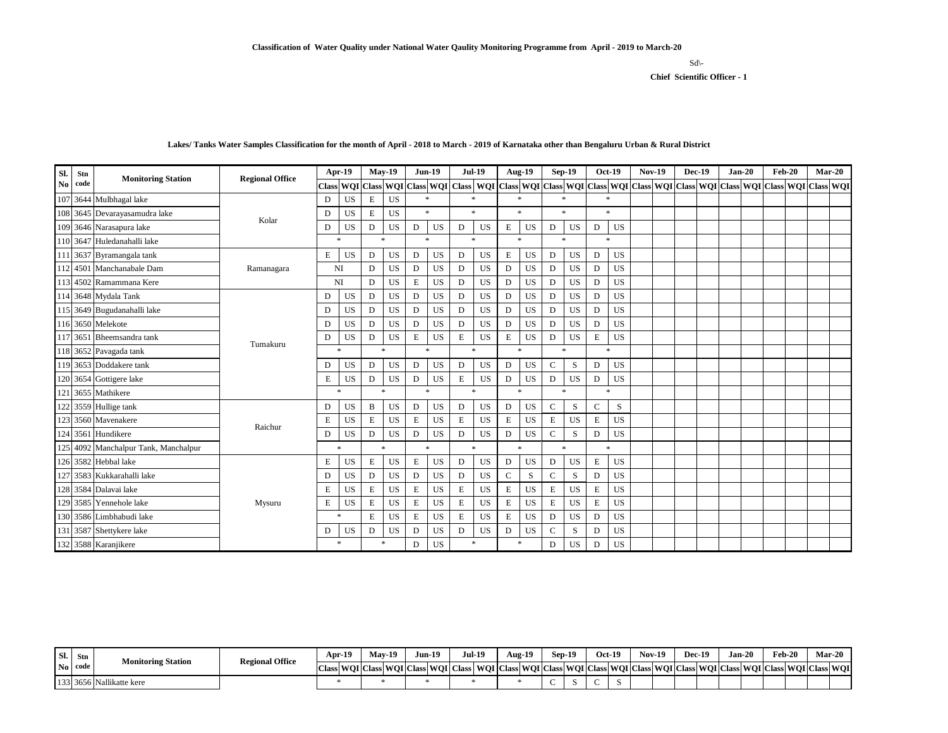## **Chief Scientific Officer - 1**  $Sd\$

| Sl.           | <b>Stn</b> | <b>Monitoring Station</b>            | <b>Regional Office</b> |              | Apr-19    |             | <b>May-19</b> | <b>Jun-19</b> |           |              | <b>Jul-19</b>                                                                                                                     | <b>Aug-19</b> |           |               | <b>Sep-19</b> |              | <b>Oct-19</b> | <b>Nov-19</b> |  | <b>Dec-19</b> | $Jan-20$ | <b>Feb-20</b> |  | $Mar-20$ |
|---------------|------------|--------------------------------------|------------------------|--------------|-----------|-------------|---------------|---------------|-----------|--------------|-----------------------------------------------------------------------------------------------------------------------------------|---------------|-----------|---------------|---------------|--------------|---------------|---------------|--|---------------|----------|---------------|--|----------|
| $\mathbf{No}$ | code       |                                      |                        |              |           |             |               |               |           |              | Class WQI Class WQI Class WQI Class WQI Class WQI Class WQI Class WQI Class WQI Class WQI Class WQI Class WQI Class WQI Class WQI |               |           |               |               |              |               |               |  |               |          |               |  |          |
|               |            | 107 3644 Mulbhagal lake              |                        | D            | <b>US</b> | ${\bf E}$   | <b>US</b>     | $\ast$        |           | $\ast$       |                                                                                                                                   | $\ast$        |           |               | $\ast$        |              | $\ast$        |               |  |               |          |               |  |          |
|               |            | 108 3645 Devarayasamudra lake        | Kolar                  | D            | <b>US</b> | E           | <b>US</b>     | $\ast$        |           | $\star$      |                                                                                                                                   | $\ast$        |           |               | $\ast$        |              | $\ast$        |               |  |               |          |               |  |          |
|               |            | 109 3646 Narasapura lake             |                        | D            | <b>US</b> | D           | <b>US</b>     | $\mathbf D$   | <b>US</b> | D            | <b>US</b>                                                                                                                         | E             | <b>US</b> | D             | <b>US</b>     | D            | <b>US</b>     |               |  |               |          |               |  |          |
|               |            | 110 3647 Huledanahalli lake          |                        | $\ast$       |           |             | $\ast$        |               | $\ast$    | $\ast$       |                                                                                                                                   | $\ast$        |           |               | $\ast$        |              | $\ast$        |               |  |               |          |               |  |          |
|               |            | 111 3637 Byramangala tank            |                        | E            | <b>US</b> | D           | <b>US</b>     | D             | <b>US</b> | D            | <b>US</b>                                                                                                                         | E             | <b>US</b> | D             | <b>US</b>     | $\mathbf D$  | <b>US</b>     |               |  |               |          |               |  |          |
|               |            | 112 4501 Manchanabale Dam            | Ramanagara             | NI           |           | $\mathbf D$ | <b>US</b>     | $\mathbf D$   | <b>US</b> | D            | <b>US</b>                                                                                                                         | D             | <b>US</b> | D             | <b>US</b>     | $\mathbf D$  | <b>US</b>     |               |  |               |          |               |  |          |
|               |            | 113 4502 Ramammana Kere              |                        | NI           |           | $\mathbf D$ | <b>US</b>     | ${\bf E}$     | <b>US</b> | $\mathbf{D}$ | <b>US</b>                                                                                                                         | D             | <b>US</b> | D             | <b>US</b>     | D            | US            |               |  |               |          |               |  |          |
|               |            | 114 3648 Mydala Tank                 |                        | D            | <b>US</b> | D           | <b>US</b>     | D             | <b>US</b> | ${\bf D}$    | <b>US</b>                                                                                                                         | D             | <b>US</b> | D             | <b>US</b>     | $\mathbf D$  | <b>US</b>     |               |  |               |          |               |  |          |
|               |            | 115 3649 Bugudanahalli lake          |                        | $\mathbf D$  | <b>US</b> | D           | <b>US</b>     | $\mathbf D$   | <b>US</b> | D            | <b>US</b>                                                                                                                         | D             | <b>US</b> | D             | <b>US</b>     | $\mathbf{D}$ | <b>US</b>     |               |  |               |          |               |  |          |
|               |            | 116 3650 Melekote                    |                        | D            | <b>US</b> | D           | <b>US</b>     | D             | <b>US</b> | D            | <b>US</b>                                                                                                                         | D             | <b>US</b> | D             | <b>US</b>     | D            | US            |               |  |               |          |               |  |          |
|               |            | 117 3651 Bheemsandra tank            | Tumakuru               | D            | <b>US</b> | D           | <b>US</b>     | E             | <b>US</b> | ${\bf E}$    | <b>US</b>                                                                                                                         | E             | <b>US</b> | D             | <b>US</b>     | E            | <b>US</b>     |               |  |               |          |               |  |          |
|               |            | 118 3652 Pavagada tank               |                        |              | $\ast$    |             | $\ast$        | $\ast$        |           |              | $\ast$                                                                                                                            | $\ast$        |           |               | $\ast$        |              | $\ast$        |               |  |               |          |               |  |          |
|               |            | 119 3653 Doddakere tank              |                        | D            | <b>US</b> | D           | <b>US</b>     | D             | <b>US</b> | D            | <b>US</b>                                                                                                                         | D             | <b>US</b> | $\mathcal{C}$ | ${\bf S}$     | D            | <b>US</b>     |               |  |               |          |               |  |          |
|               |            | 120 3654 Gottigere lake              |                        | E            | <b>US</b> | D           | <b>US</b>     | D             | <b>US</b> | ${\bf E}$    | <b>US</b>                                                                                                                         | D             | <b>US</b> | D             | <b>US</b>     | $\mathbf D$  | <b>US</b>     |               |  |               |          |               |  |          |
|               |            | 121 3655 Mathikere                   |                        |              | $\ast$    |             | $\ast$        | $\ast$        |           |              | $\ast$                                                                                                                            | $\ast$        |           |               | $\ast$        |              | $*$           |               |  |               |          |               |  |          |
|               |            | 122 3559 Hullige tank                |                        | D            | <b>US</b> | $\bf{B}$    | <b>US</b>     | D             | <b>US</b> | $\mathbf{D}$ | <b>US</b>                                                                                                                         | $\mathbf D$   | <b>US</b> | $\mathbf C$   | ${\bf S}$     | $\mathsf{C}$ | S             |               |  |               |          |               |  |          |
|               |            | 123 3560 Mavenakere                  | Raichur                | E            | <b>US</b> | E           | <b>US</b>     | E             | <b>US</b> | ${\bf E}$    | <b>US</b>                                                                                                                         | E             | <b>US</b> | ${\bf E}$     | <b>US</b>     | ${\bf E}$    | <b>US</b>     |               |  |               |          |               |  |          |
|               |            | 124 3561 Hundikere                   |                        | $\mathbf{D}$ | <b>US</b> | D           | <b>US</b>     | $\mathbf D$   | <b>US</b> | D            | <b>US</b>                                                                                                                         | D             | <b>US</b> | $\mathcal{C}$ | ${\bf S}$     | D            | <b>US</b>     |               |  |               |          |               |  |          |
|               |            | 125 4092 Manchalpur Tank, Manchalpur |                        |              | $\ast$    |             | $\ast$        | $\ast$        |           |              | $\ast$                                                                                                                            | $\ast$        |           |               | $\ast$        |              | $\ast$        |               |  |               |          |               |  |          |
|               |            | 126 3582 Hebbal lake                 |                        | E            | <b>US</b> | Ε           | <b>US</b>     | E             | <b>US</b> | D            | <b>US</b>                                                                                                                         | D             | <b>US</b> | D             | <b>US</b>     | E            | <b>US</b>     |               |  |               |          |               |  |          |
|               |            | 127 3583 Kukkarahalli lake           |                        | $\mathbf D$  | <b>US</b> | $\mathbf D$ | <b>US</b>     | $\mathbf D$   | <b>US</b> | ${\bf D}$    | <b>US</b>                                                                                                                         | $\mathbf C$   | S         | $\mathbf C$   | S             | D            | <b>US</b>     |               |  |               |          |               |  |          |
|               |            | 128 3584 Dalavai lake                |                        | ${\bf E}$    | <b>US</b> | ${\bf E}$   | <b>US</b>     | ${\bf E}$     | <b>US</b> | ${\bf E}$    | <b>US</b>                                                                                                                         | ${\bf E}$     | <b>US</b> | ${\bf E}$     | <b>US</b>     | ${\bf E}$    | <b>US</b>     |               |  |               |          |               |  |          |
|               |            | 129 3585 Yennehole lake              | Mysuru                 | E            | <b>US</b> | E           | <b>US</b>     | E             | <b>US</b> | E            | <b>US</b>                                                                                                                         | E             | <b>US</b> | ${\bf E}$     | <b>US</b>     | E            | <b>US</b>     |               |  |               |          |               |  |          |
|               |            | 130 3586 Limbhabudi lake             |                        |              | $\ast$    | ${\bf E}$   | <b>US</b>     | E             | <b>US</b> | ${\bf E}$    | <b>US</b>                                                                                                                         | E             | <b>US</b> | $\mathbf D$   | <b>US</b>     | $\mathbf D$  | <b>US</b>     |               |  |               |          |               |  |          |
|               |            | 131 3587 Shettykere lake             |                        | D            | <b>US</b> | D           | <b>US</b>     | D             | <b>US</b> | $\mathbf{D}$ | <b>US</b>                                                                                                                         | $\mathbf D$   | <b>US</b> | $\mathbf C$   | S.            | D            | <b>US</b>     |               |  |               |          |               |  |          |
|               |            | 132 3588 Karanjikere                 |                        |              | $*$       |             | $\ast$        | $\mathbf D$   | <b>US</b> | $\ast$       |                                                                                                                                   | $\star$       |           | D             | <b>US</b>     | $\mathbf D$  | <b>US</b>     |               |  |               |          |               |  |          |

**Lakes/ Tanks Water Samples Classification for the month of April - 2018 to March - 2019 of Karnataka other than Bengaluru Urban & Rural District**

| SI.            | Stn              |                           | <b>Regional Office</b> | $Apr-19$ | <b>May-19</b>                                   | <b>Jun-19</b> | <b>Jul-19</b> | Aug- $19$                                                                                                     | $Sep-19$ | <b>Oct-19</b> | <b>Nov-19</b> | <b>Dec-19</b> | $Jan-2o$ |  | $\mathbf{Feb-20}$ | $Mar-20$ |  |
|----------------|------------------|---------------------------|------------------------|----------|-------------------------------------------------|---------------|---------------|---------------------------------------------------------------------------------------------------------------|----------|---------------|---------------|---------------|----------|--|-------------------|----------|--|
| $\mathbf{N_0}$ | o   code         | <b>Monitoring Station</b> |                        |          | Class   WOI   Class   WOI   Class   WOI   Class |               |               | WQI   Class   WQI   Class   WQI   Class   WQI   Class   WQI   Class   WQI   Class   WQI   Class   WQI   Class |          |               |               |               |          |  |                   |          |  |
|                | 133 3656 Nallika | ullikatte kere            |                        |          |                                                 |               |               |                                                                                                               |          |               |               |               |          |  |                   |          |  |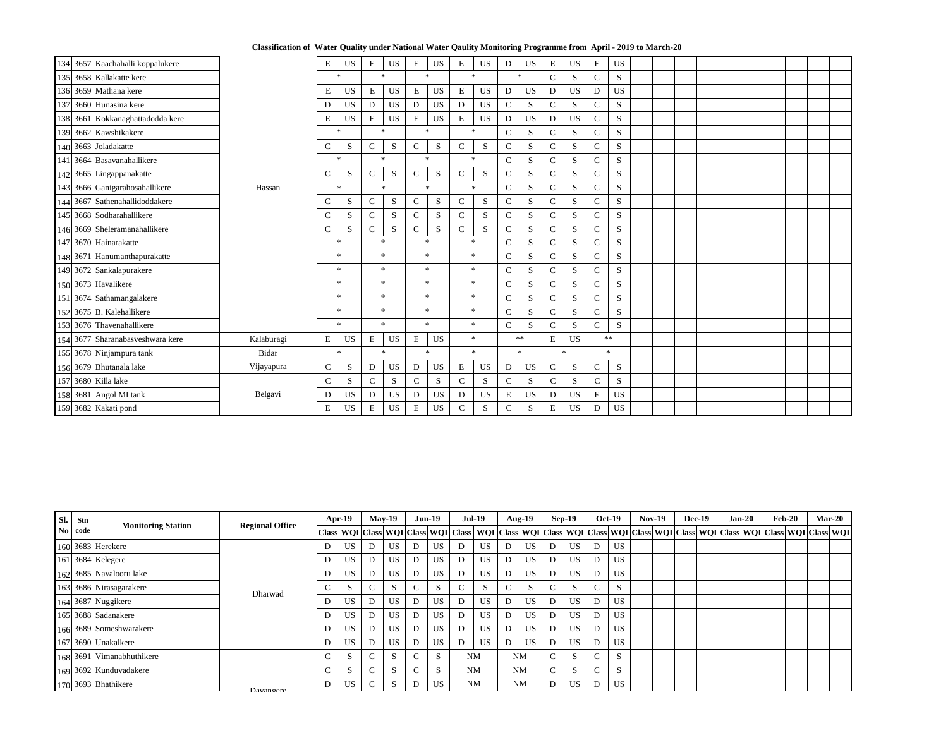|  | Classification of Water Quality under National Water Qaulity Monitoring Programme from April - 2019 to March-20 |  |  |  |
|--|-----------------------------------------------------------------------------------------------------------------|--|--|--|
|--|-----------------------------------------------------------------------------------------------------------------|--|--|--|

| 134 3657 Kaachahalli koppalukere |              | E             | <b>US</b> | E               | <b>US</b> | E            | <b>US</b> | E           | <b>US</b>             | D            | <b>US</b> | E            | <b>US</b> | E             | <b>US</b> |  |  |  |  |  |
|----------------------------------|--------------|---------------|-----------|-----------------|-----------|--------------|-----------|-------------|-----------------------|--------------|-----------|--------------|-----------|---------------|-----------|--|--|--|--|--|
| 135 3658 Kallakatte kere         |              |               | $*$       |                 | $\ast$    |              | $\ast$    |             | $\ast$                | $\ast$       |           | $\mathbf C$  | S         | $\mathbf C$   | S         |  |  |  |  |  |
| 136 3659 Mathana kere            |              | E             | <b>US</b> | $E_{\rm}$       | <b>US</b> | ${\bf E}$    | <b>US</b> | $\mathbf E$ | <b>US</b>             | ${\bf D}$    | <b>US</b> | ${\bf D}$    | <b>US</b> | $\mathbf D$   | <b>US</b> |  |  |  |  |  |
| 137 3660 Hunasina kere           |              | D             | <b>US</b> | D               | <b>US</b> | D            | <b>US</b> | D           | <b>US</b>             | $\mathbf C$  | S         | $\mathsf{C}$ | S         | $\mathbf C$   | ${\bf S}$ |  |  |  |  |  |
| 138 3661 Kokkanaghattadodda kere |              | E             | <b>US</b> | $E_{\parallel}$ | <b>US</b> | E            | <b>US</b> | E           | <b>US</b>             | ${\bf D}$    | <b>US</b> | $\mathbf D$  | <b>US</b> | $\mathbf C$   | ${\bf S}$ |  |  |  |  |  |
| 139 3662 Kawshikakere            |              |               | $*$       |                 | $\ast$    |              | $\ast$    |             | $\ast$                | $\mathbf C$  | ${\bf S}$ | $\mathbf C$  | S         | $\mathsf{C}$  | ${\bf S}$ |  |  |  |  |  |
| 140 3663 Joladakatte             |              | $\mathsf{C}$  | S         | $\mathcal{C}$   | S         | $\mathsf{C}$ | S         | $\mathbf C$ | S                     | $\mathbf{C}$ | S         | $\mathbf C$  | S         | $\mathbf C$   | S         |  |  |  |  |  |
| 141 3664 Basavanahallikere       |              |               | $\ast$    |                 | $\ast$    |              | $\ast$    |             | $\ast$                | $\mathbf C$  | S         | $\mathbf C$  | S         | $\mathbf C$   | S         |  |  |  |  |  |
| 142 3665 Lingappanakatte         |              | $\mathbf C$   | S         | $\mathsf{C}$    | S         | $\mathsf{C}$ | S         | $\mathbf C$ | S                     | $\mathsf{C}$ | S         | $\mathbf C$  | S         | $\mathbf C$   | S         |  |  |  |  |  |
| 143 3666 Ganigarahosahallikere   | Hassan       |               | $\ast$    |                 | $*$       |              | $\ast$    |             | $\ast$                | $\mathbf{C}$ | S         | $\mathbf C$  | S         | $\mathbf C$   | S         |  |  |  |  |  |
| 144 3667 Sathenahallidoddakere   |              | $\mathbf C$   | S         | $\mathbf C$     | S         | $\mathbf C$  | S         | $\mathbf C$ | S                     | $\mathbf C$  | S         | ${\bf C}$    | S         | $\mathcal{C}$ | ${\bf S}$ |  |  |  |  |  |
| 145 3668 Sodharahallikere        |              | $\mathcal{C}$ | S         | $\mathbf C$     | S         | $\mathbf C$  | S         | $\mathbf C$ | S                     | $\mathsf{C}$ | S         | $\mathbf C$  | S         |               | ${\bf S}$ |  |  |  |  |  |
| 146 3669 Sheleramanahallikere    |              | $\mathbf C$   | S         | $\mathbf C$     | S         | $\mathsf{C}$ | S         | ${\bf C}$   | S                     | $\mathbf C$  | S         | ${\bf C}$    | ${\bf S}$ | $\mathbf C$   | S         |  |  |  |  |  |
| 147 3670 Hainarakatte            |              |               | $\ast$    |                 | $*$       |              | $\ast$    |             | $\ast$                | $\mathbf C$  | S         | $\mathbf C$  | S         | $\mathbf C$   | S         |  |  |  |  |  |
| 148 3671 Hanumanthapurakatte     |              |               | $\ast$    |                 | $*$       |              | $\ast$    |             | $\ast$                | $\mathbf C$  | S         | $\mathbf C$  | S         | $\mathbf C$   | ${\bf S}$ |  |  |  |  |  |
| 149 3672 Sankalapurakere         |              |               | $\ast$    |                 | $\ast$    |              | $\ast$    |             | $\ast$                | $\mathbf C$  | S         | ${\bf C}$    | ${\bf S}$ | $\mathbf C$   | S         |  |  |  |  |  |
| 150 3673 Havalikere              |              |               | $\ast$    |                 | $*$       |              | $\ast$    |             | $\star$               | $\mathbf C$  | S         | $\mathbf C$  | S         | $\mathbf C$   | ${\bf S}$ |  |  |  |  |  |
| 151 3674 Sathamangalakere        |              |               | $\ast$    |                 | $\ast$    |              | $\ast$    |             | $\ast$                | $\mathsf{C}$ | S         | $\mathbf C$  | S         | $\mathbf C$   | S         |  |  |  |  |  |
| 152 3675 B. Kalehallikere        |              |               | $\ast$    |                 | $\ast$    |              | $\ast$    |             | $\star$               | $\mathbf C$  | ${\bf S}$ | ${\bf C}$    | ${\bf S}$ | $\mathbf C$   | S         |  |  |  |  |  |
| 153 3676 Thavenahallikere        |              |               | $*$       |                 | $\ast$    |              | $\ast$    |             | $\ast$                | $\mathbf C$  | S         | $\mathbf C$  | S         | $\mathbf C$   | ${\bf S}$ |  |  |  |  |  |
| 154 3677 Sharanabasveshwara kere | Kalaburagi   | ${\bf E}$     | <b>US</b> | ${\bf E}$       | <b>US</b> | ${\bf E}$    | <b>US</b> |             | $\ast$                |              | $**$      | ${\bf E}$    | <b>US</b> |               | $**$      |  |  |  |  |  |
| 155 3678 Ninjampura tank         | <b>Bidar</b> |               | $\ast$    |                 | $\ast$    |              | $\ast$    |             | $\boldsymbol{\times}$ |              | $\star$   |              | $*$       |               | $\ast$    |  |  |  |  |  |
| 156 3679 Bhutanala lake          | Vijayapura   | $\mathbf C$   | ${\bf S}$ | D               | <b>US</b> | D            | <b>US</b> | ${\bf E}$   | <b>US</b>             | ${\bf D}$    | <b>US</b> | $\mathbf C$  | ${\bf S}$ | $\mathbf C$   | S         |  |  |  |  |  |
| 157 3680 Killa lake              |              | $\mathbf C$   | S         | $\mathsf{C}$    | S         | $\mathbf C$  | S         | $\mathbf C$ | S                     | ${\bf C}$    | S         | $\mathbf C$  | S         | $\mathbf C$   | S.        |  |  |  |  |  |
| 158 3681 Angol MI tank           | Belgavi      | D             | <b>US</b> | D               | <b>US</b> | D            | <b>US</b> | D           | <b>US</b>             | E            | <b>US</b> | D            | <b>US</b> | E             | <b>US</b> |  |  |  |  |  |
| 159 3682 Kakati pond             |              | ${\bf E}$     | <b>US</b> | E               | <b>US</b> | ${\bf E}$    | <b>US</b> | ${\bf C}$   | ${\bf S}$             | $\mathbf C$  | ${\bf S}$ | ${\bf E}$    | <b>US</b> | $\mathbf D$   | <b>US</b> |  |  |  |  |  |

| SI. | Stn     |                           |                        |        | $Apr-19$  |        | $May-19$  |        | <b>Jun-19</b> | <b>Jul-19</b> |           |        | <b>Aug-19</b> |        | $Sep-19$ |                          | <b>Oct-19</b> | <b>Nov-19</b>                                                                                                                     | <b>Dec-19</b> |  | $Jan-20$ | <b>Feb-20</b> | $Mar-20$ |
|-----|---------|---------------------------|------------------------|--------|-----------|--------|-----------|--------|---------------|---------------|-----------|--------|---------------|--------|----------|--------------------------|---------------|-----------------------------------------------------------------------------------------------------------------------------------|---------------|--|----------|---------------|----------|
|     | No code | <b>Monitoring Station</b> | <b>Regional Office</b> |        |           |        |           |        |               |               |           |        |               |        |          |                          |               | Class WQI Class WQI Class WQI Class WQI Class WQI Class WQI Class WQI Class WQI Class WQI Class WQI Class WQI Class WQI Class WQI |               |  |          |               |          |
|     |         | 160 3683 Herekere         |                        | D      | <b>US</b> |        | US        |        | <b>US</b>     | D             | <b>US</b> | D      | <b>US</b>     | D      | US       |                          | <b>US</b>     |                                                                                                                                   |               |  |          |               |          |
|     |         | 161 3684 Kelegere         |                        | D      | <b>US</b> |        | <b>US</b> |        | US            | D             | <b>US</b> | D      | <b>US</b>     | D      | US       |                          | US            |                                                                                                                                   |               |  |          |               |          |
|     |         | 162 3685 Navalooru lake   |                        | D      | <b>US</b> |        | US        |        | US.           | D             | <b>US</b> | D      | <b>US</b>     | D      | US       |                          | US.           |                                                                                                                                   |               |  |          |               |          |
|     |         | 163 3686 Nirasagarakere   | $\sim$<br>◡<br>Dharwad | ъ.     | $\sim$    |        | $\sim$    | S      | $\mathbf C$   | S             |           | $\sim$ | $\sim$        | ъ.     | $\sim$   | S                        |               |                                                                                                                                   |               |  |          |               |          |
|     |         | 164 3687 Nuggikere        |                        | D      | US        |        | US        |        | US            | D             | <b>US</b> |        | <b>US</b>     | D      | US       |                          | US.           |                                                                                                                                   |               |  |          |               |          |
|     |         | 165 3688 Sadanakere       | D                      |        | <b>US</b> |        | <b>US</b> |        | US            | D             | <b>US</b> | D      | <b>US</b>     | D      | US       |                          | <b>US</b>     |                                                                                                                                   |               |  |          |               |          |
|     |         | 166 3689 Someshwarakere   |                        | D      | <b>US</b> |        | <b>US</b> | D      | US            | D             | <b>US</b> | D      | <b>US</b>     | D      | US       |                          | US.           |                                                                                                                                   |               |  |          |               |          |
|     |         | 167 3690 Unakalkere       |                        | D      | <b>US</b> |        | <b>US</b> |        | <b>US</b>     | D             | <b>US</b> | D      | <b>US</b>     | D      | US       |                          | US.           |                                                                                                                                   |               |  |          |               |          |
|     |         | 168 3691 Vimanabhuthikere |                        | $\sim$ | D.        | $\sim$ |           | $\sim$ | S.            | <b>NM</b>     |           |        | <b>NM</b>     | $\sim$ | ъ,       | $\sqrt{ }$               | S             |                                                                                                                                   |               |  |          |               |          |
|     |         | 169 3692 Kunduvadakere    |                        | $\sim$ | ъ.        | $\sim$ | Ъ.        | $\sim$ | S             | <b>NM</b>     |           |        | <b>NM</b>     | $\sim$ | A.       | $\overline{\phantom{0}}$ | S.            |                                                                                                                                   |               |  |          |               |          |
|     |         | 170 3693 Bhathikere       | Davangara              | D      | US        | $\sim$ | S.        | D      | <b>US</b>     | <b>NM</b>     |           |        | <b>NM</b>     | D      | US       |                          | <b>US</b>     |                                                                                                                                   |               |  |          |               |          |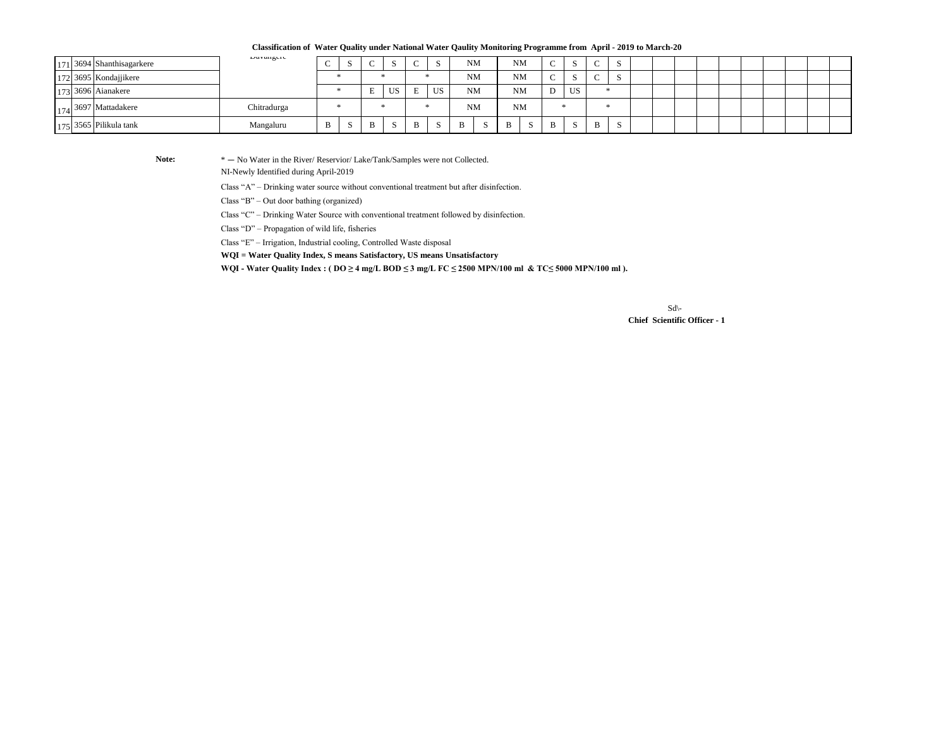$Sd$ <sup>-</sup>  **Chief Scientific Officer - 1**

Class "A" – Drinking water source without conventional treatment but after disinfection.

**Classification of Water Quality under National Water Qaulity Monitoring Programme from April - 2019 to March-20**

|  | $171$ 3694 Shanthisagarkere | Davangere   |  |    |    |   |           |              | <b>NM</b> | <b>NM</b> | $\sim$     |             |  |  |  |  |  |  |
|--|-----------------------------|-------------|--|----|----|---|-----------|--------------|-----------|-----------|------------|-------------|--|--|--|--|--|--|
|  | $172$ 3695 Kondajjikere     |             |  |    |    |   |           |              | <b>NM</b> | <b>NM</b> | $\sqrt{ }$ |             |  |  |  |  |  |  |
|  | $173$ 3696 Aianakere        |             |  | ند | ບມ |   | <b>US</b> |              | <b>NM</b> | <b>NM</b> | D<br>◡     | <b>US</b>   |  |  |  |  |  |  |
|  | $174$ 3697 Mattadakere      | Chitradurga |  |    |    |   |           |              | <b>NM</b> | <b>NM</b> |            |             |  |  |  |  |  |  |
|  | $175$ 3565 Pilikula tank    | Mangaluru   |  | B  |    | B |           | $\mathbf{B}$ | -S        | B         | B          | $\sim$<br>D |  |  |  |  |  |  |

Note:  $* - No Water in the River/Reserior/Lake/Tank/Samples were not Collected.$ 

**WQI = Water Quality Index, S means Satisfactory, US means Unsatisfactory**

Class "D" – Propagation of wild life, fisheries

Class "E" – Irrigation, Industrial cooling, Controlled Waste disposal

Class "B" – Out door bathing (organized)

**WQI - Water Quality Index : ( DO ≥ 4 mg/L BOD ≤ 3 mg/L FC ≤ 2500 MPN/100 ml & TC≤ 5000 MPN/100 ml ).**

Class "C" – Drinking Water Source with conventional treatment followed by disinfection.

NI-Newly Identified during April-2019